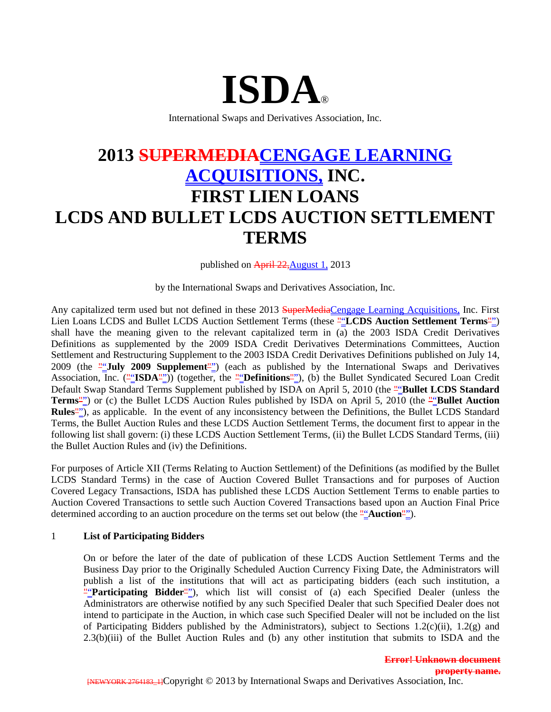# **ISDA**®

International Swaps and Derivatives Association, Inc.

# **2013 SUPERMEDIACENGAGE LEARNING ACQUISITIONS, INC. FIRST LIEN LOANS LCDS AND BULLET LCDS AUCTION SETTLEMENT TERMS**

published on April 22, August 1, 2013

by the International Swaps and Derivatives Association, Inc.

Any capitalized term used but not defined in these 2013 SuperMediaCengage Learning Acquisitions, Inc. First Lien Loans LCDS and Bullet LCDS Auction Settlement Terms (these ""LCDS Auction Settlement Terms"") shall have the meaning given to the relevant capitalized term in (a) the 2003 ISDA Credit Derivatives Definitions as supplemented by the 2009 ISDA Credit Derivatives Determinations Committees, Auction Settlement and Restructuring Supplement to the 2003 ISDA Credit Derivatives Definitions published on July 14, 2009 (the ""**July 2009 Supplement**"") (each as published by the International Swaps and Derivatives Association, Inc. (""**ISDA**"")) (together, the ""**Definitions**""), (b) the Bullet Syndicated Secured Loan Credit Default Swap Standard Terms Supplement published by ISDA on April 5, 2010 (the "Bullet LCDS Standard **Terms**"") or (c) the Bullet LCDS Auction Rules published by ISDA on April 5, 2010 (the ""Bullet Auction" **Rules**""), as applicable. In the event of any inconsistency between the Definitions, the Bullet LCDS Standard Terms, the Bullet Auction Rules and these LCDS Auction Settlement Terms, the document first to appear in the following list shall govern: (i) these LCDS Auction Settlement Terms, (ii) the Bullet LCDS Standard Terms, (iii) the Bullet Auction Rules and (iv) the Definitions.

For purposes of Article XII (Terms Relating to Auction Settlement) of the Definitions (as modified by the Bullet LCDS Standard Terms) in the case of Auction Covered Bullet Transactions and for purposes of Auction Covered Legacy Transactions, ISDA has published these LCDS Auction Settlement Terms to enable parties to Auction Covered Transactions to settle such Auction Covered Transactions based upon an Auction Final Price determined according to an auction procedure on the terms set out below (the ""**Auction**"").

#### 1 **List of Participating Bidders**

On or before the later of the date of publication of these LCDS Auction Settlement Terms and the Business Day prior to the Originally Scheduled Auction Currency Fixing Date, the Administrators will publish a list of the institutions that will act as participating bidders (each such institution, a ""Participating Bidder<sup>""</sup>), which list will consist of (a) each Specified Dealer (unless the Administrators are otherwise notified by any such Specified Dealer that such Specified Dealer does not intend to participate in the Auction, in which case such Specified Dealer will not be included on the list of Participating Bidders published by the Administrators), subject to Sections 1.2(c)(ii), 1.2(g) and 2.3(b)(iii) of the Bullet Auction Rules and (b) any other institution that submits to ISDA and the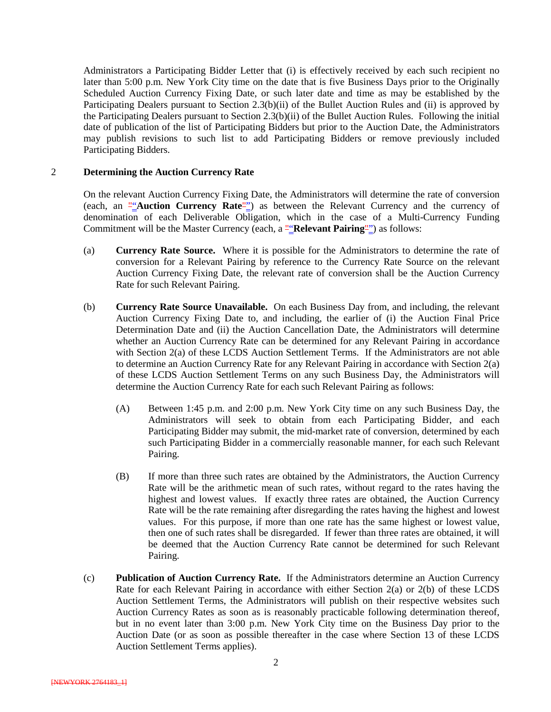Administrators a Participating Bidder Letter that (i) is effectively received by each such recipient no later than 5:00 p.m. New York City time on the date that is five Business Days prior to the Originally Scheduled Auction Currency Fixing Date, or such later date and time as may be established by the Participating Dealers pursuant to Section 2.3(b)(ii) of the Bullet Auction Rules and (ii) is approved by the Participating Dealers pursuant to Section 2.3(b)(ii) of the Bullet Auction Rules. Following the initial date of publication of the list of Participating Bidders but prior to the Auction Date, the Administrators may publish revisions to such list to add Participating Bidders or remove previously included Participating Bidders.

#### 2 **Determining the Auction Currency Rate**

On the relevant Auction Currency Fixing Date, the Administrators will determine the rate of conversion (each, an ""**Auction Currency Rate**"") as between the Relevant Currency and the currency of denomination of each Deliverable Obligation, which in the case of a Multi-Currency Funding Commitment will be the Master Currency (each, a ""**Relevant Pairing**"") as follows:

- (a) **Currency Rate Source.** Where it is possible for the Administrators to determine the rate of conversion for a Relevant Pairing by reference to the Currency Rate Source on the relevant Auction Currency Fixing Date, the relevant rate of conversion shall be the Auction Currency Rate for such Relevant Pairing.
- (b) **Currency Rate Source Unavailable.** On each Business Day from, and including, the relevant Auction Currency Fixing Date to, and including, the earlier of (i) the Auction Final Price Determination Date and (ii) the Auction Cancellation Date, the Administrators will determine whether an Auction Currency Rate can be determined for any Relevant Pairing in accordance with Section 2(a) of these LCDS Auction Settlement Terms. If the Administrators are not able to determine an Auction Currency Rate for any Relevant Pairing in accordance with Section 2(a) of these LCDS Auction Settlement Terms on any such Business Day, the Administrators will determine the Auction Currency Rate for each such Relevant Pairing as follows:
	- (A) Between 1:45 p.m. and 2:00 p.m. New York City time on any such Business Day, the Administrators will seek to obtain from each Participating Bidder, and each Participating Bidder may submit, the mid-market rate of conversion, determined by each such Participating Bidder in a commercially reasonable manner, for each such Relevant Pairing.
	- (B) If more than three such rates are obtained by the Administrators, the Auction Currency Rate will be the arithmetic mean of such rates, without regard to the rates having the highest and lowest values. If exactly three rates are obtained, the Auction Currency Rate will be the rate remaining after disregarding the rates having the highest and lowest values. For this purpose, if more than one rate has the same highest or lowest value, then one of such rates shall be disregarded. If fewer than three rates are obtained, it will be deemed that the Auction Currency Rate cannot be determined for such Relevant Pairing.
- (c) **Publication of Auction Currency Rate.** If the Administrators determine an Auction Currency Rate for each Relevant Pairing in accordance with either Section 2(a) or 2(b) of these LCDS Auction Settlement Terms, the Administrators will publish on their respective websites such Auction Currency Rates as soon as is reasonably practicable following determination thereof, but in no event later than 3:00 p.m. New York City time on the Business Day prior to the Auction Date (or as soon as possible thereafter in the case where Section 13 of these LCDS Auction Settlement Terms applies).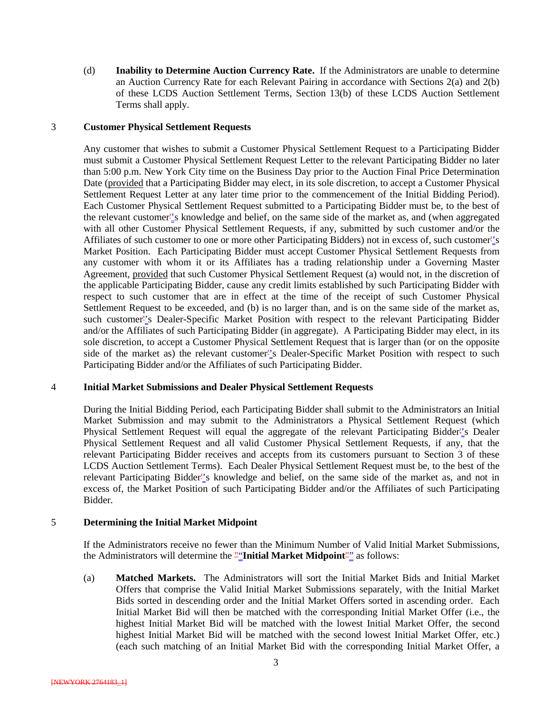(d) **Inability to Determine Auction Currency Rate.** If the Administrators are unable to determine an Auction Currency Rate for each Relevant Pairing in accordance with Sections 2(a) and 2(b) of these LCDS Auction Settlement Terms, Section 13(b) of these LCDS Auction Settlement Terms shall apply.

#### 3 **Customer Physical Settlement Requests**

Any customer that wishes to submit a Customer Physical Settlement Request to a Participating Bidder must submit a Customer Physical Settlement Request Letter to the relevant Participating Bidder no later than 5:00 p.m. New York City time on the Business Day prior to the Auction Final Price Determination Date (provided that a Participating Bidder may elect, in its sole discretion, to accept a Customer Physical Settlement Request Letter at any later time prior to the commencement of the Initial Bidding Period). Each Customer Physical Settlement Request submitted to a Participating Bidder must be, to the best of the relevant customer''s knowledge and belief, on the same side of the market as, and (when aggregated with all other Customer Physical Settlement Requests, if any, submitted by such customer and/or the Affiliates of such customer to one or more other Participating Bidders) not in excess of, such customer''s Market Position. Each Participating Bidder must accept Customer Physical Settlement Requests from any customer with whom it or its Affiliates has a trading relationship under a Governing Master Agreement, provided that such Customer Physical Settlement Request (a) would not, in the discretion of the applicable Participating Bidder, cause any credit limits established by such Participating Bidder with respect to such customer that are in effect at the time of the receipt of such Customer Physical Settlement Request to be exceeded, and (b) is no larger than, and is on the same side of the market as, such customer''s Dealer-Specific Market Position with respect to the relevant Participating Bidder and/or the Affiliates of such Participating Bidder (in aggregate). A Participating Bidder may elect, in its sole discretion, to accept a Customer Physical Settlement Request that is larger than (or on the opposite side of the market as) the relevant customer''s Dealer-Specific Market Position with respect to such Participating Bidder and/or the Affiliates of such Participating Bidder.

#### 4 **Initial Market Submissions and Dealer Physical Settlement Requests**

During the Initial Bidding Period, each Participating Bidder shall submit to the Administrators an Initial Market Submission and may submit to the Administrators a Physical Settlement Request (which Physical Settlement Request will equal the aggregate of the relevant Participating Bidder''s Dealer Physical Settlement Request and all valid Customer Physical Settlement Requests, if any, that the relevant Participating Bidder receives and accepts from its customers pursuant to Section 3 of these LCDS Auction Settlement Terms). Each Dealer Physical Settlement Request must be, to the best of the relevant Participating Bidder''s knowledge and belief, on the same side of the market as, and not in excess of, the Market Position of such Participating Bidder and/or the Affiliates of such Participating Bidder.

#### 5 **Determining the Initial Market Midpoint**

If the Administrators receive no fewer than the Minimum Number of Valid Initial Market Submissions, the Administrators will determine the ""**Initial Market Midpoint**"" as follows:

(a) **Matched Markets.** The Administrators will sort the Initial Market Bids and Initial Market Offers that comprise the Valid Initial Market Submissions separately, with the Initial Market Bids sorted in descending order and the Initial Market Offers sorted in ascending order. Each Initial Market Bid will then be matched with the corresponding Initial Market Offer (i.e., the highest Initial Market Bid will be matched with the lowest Initial Market Offer, the second highest Initial Market Bid will be matched with the second lowest Initial Market Offer, etc.) (each such matching of an Initial Market Bid with the corresponding Initial Market Offer, a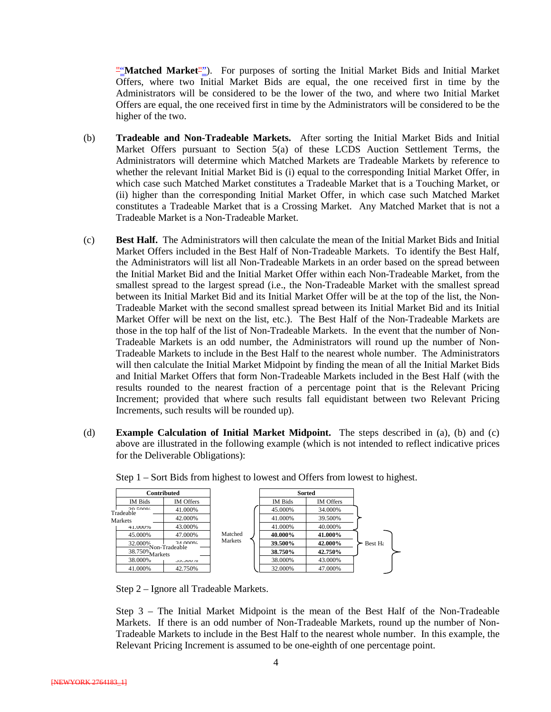""**Matched Market**""). For purposes of sorting the Initial Market Bids and Initial Market Offers, where two Initial Market Bids are equal, the one received first in time by the Administrators will be considered to be the lower of the two, and where two Initial Market Offers are equal, the one received first in time by the Administrators will be considered to be the higher of the two.

- (b) **Tradeable and Non-Tradeable Markets.** After sorting the Initial Market Bids and Initial Market Offers pursuant to Section 5(a) of these LCDS Auction Settlement Terms, the Administrators will determine which Matched Markets are Tradeable Markets by reference to whether the relevant Initial Market Bid is (i) equal to the corresponding Initial Market Offer, in which case such Matched Market constitutes a Tradeable Market that is a Touching Market, or (ii) higher than the corresponding Initial Market Offer, in which case such Matched Market constitutes a Tradeable Market that is a Crossing Market. Any Matched Market that is not a Tradeable Market is a Non-Tradeable Market.
- (c) **Best Half.** The Administrators will then calculate the mean of the Initial Market Bids and Initial Market Offers included in the Best Half of Non-Tradeable Markets. To identify the Best Half, the Administrators will list all Non-Tradeable Markets in an order based on the spread between the Initial Market Bid and the Initial Market Offer within each Non-Tradeable Market, from the smallest spread to the largest spread (i.e., the Non-Tradeable Market with the smallest spread between its Initial Market Bid and its Initial Market Offer will be at the top of the list, the Non-Tradeable Market with the second smallest spread between its Initial Market Bid and its Initial Market Offer will be next on the list, etc.). The Best Half of the Non-Tradeable Markets are those in the top half of the list of Non-Tradeable Markets. In the event that the number of Non-Tradeable Markets is an odd number, the Administrators will round up the number of Non-Tradeable Markets to include in the Best Half to the nearest whole number. The Administrators will then calculate the Initial Market Midpoint by finding the mean of all the Initial Market Bids and Initial Market Offers that form Non-Tradeable Markets included in the Best Half (with the results rounded to the nearest fraction of a percentage point that is the Relevant Pricing Increment; provided that where such results fall equidistant between two Relevant Pricing Increments, such results will be rounded up).
- (d) **Example Calculation of Initial Market Midpoint.** The steps described in (a), (b) and (c) above are illustrated in the following example (which is not intended to reflect indicative prices for the Deliverable Obligations):



Step 1 – Sort Bids from highest to lowest and Offers from lowest to highest.

Step 2 – Ignore all Tradeable Markets.

Step 3 – The Initial Market Midpoint is the mean of the Best Half of the Non-Tradeable Markets. If there is an odd number of Non-Tradeable Markets, round up the number of Non-Tradeable Markets to include in the Best Half to the nearest whole number. In this example, the Relevant Pricing Increment is assumed to be one-eighth of one percentage point.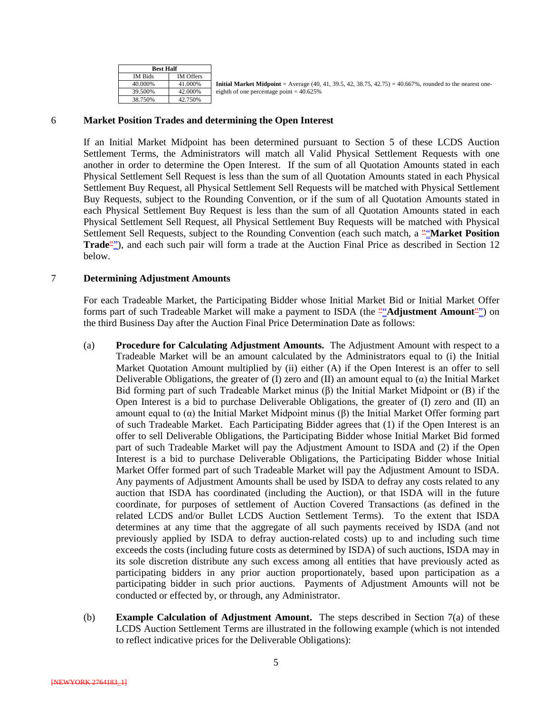| <b>Best Half</b> |                  |                                                                                                                  |
|------------------|------------------|------------------------------------------------------------------------------------------------------------------|
| IM Bids          | <b>IM Offers</b> |                                                                                                                  |
| 40.000%          | 41.000%          | <b>Initial Market Midpoint</b> = Average (40, 41, 39.5, 42, 38.75, 42.75) = 40.667%, rounded to the nearest one- |
| 39.500%          | 42.000%          | eighth of one percentage point = $40.625\%$                                                                      |
| 38.750%          | 42.750%          |                                                                                                                  |

#### 6 **Market Position Trades and determining the Open Interest**

If an Initial Market Midpoint has been determined pursuant to Section 5 of these LCDS Auction Settlement Terms, the Administrators will match all Valid Physical Settlement Requests with one another in order to determine the Open Interest. If the sum of all Quotation Amounts stated in each Physical Settlement Sell Request is less than the sum of all Quotation Amounts stated in each Physical Settlement Buy Request, all Physical Settlement Sell Requests will be matched with Physical Settlement Buy Requests, subject to the Rounding Convention, or if the sum of all Quotation Amounts stated in each Physical Settlement Buy Request is less than the sum of all Quotation Amounts stated in each Physical Settlement Sell Request, all Physical Settlement Buy Requests will be matched with Physical Settlement Sell Requests, subject to the Rounding Convention (each such match, a ""**Market Position Trade**""), and each such pair will form a trade at the Auction Final Price as described in Section 12 below.

#### 7 **Determining Adjustment Amounts**

For each Tradeable Market, the Participating Bidder whose Initial Market Bid or Initial Market Offer forms part of such Tradeable Market will make a payment to ISDA (the ""**Adjustment Amount**"") on the third Business Day after the Auction Final Price Determination Date as follows:

- (a) **Procedure for Calculating Adjustment Amounts.** The Adjustment Amount with respect to a Tradeable Market will be an amount calculated by the Administrators equal to (i) the Initial Market Quotation Amount multiplied by (ii) either (A) if the Open Interest is an offer to sell Deliverable Obligations, the greater of (I) zero and (II) an amount equal to  $(\alpha)$  the Initial Market Bid forming part of such Tradeable Market minus (β) the Initial Market Midpoint or (B) if the Open Interest is a bid to purchase Deliverable Obligations, the greater of (I) zero and (II) an amount equal to (α) the Initial Market Midpoint minus (β) the Initial Market Offer forming part of such Tradeable Market. Each Participating Bidder agrees that (1) if the Open Interest is an offer to sell Deliverable Obligations, the Participating Bidder whose Initial Market Bid formed part of such Tradeable Market will pay the Adjustment Amount to ISDA and (2) if the Open Interest is a bid to purchase Deliverable Obligations, the Participating Bidder whose Initial Market Offer formed part of such Tradeable Market will pay the Adjustment Amount to ISDA. Any payments of Adjustment Amounts shall be used by ISDA to defray any costs related to any auction that ISDA has coordinated (including the Auction), or that ISDA will in the future coordinate, for purposes of settlement of Auction Covered Transactions (as defined in the related LCDS and/or Bullet LCDS Auction Settlement Terms). To the extent that ISDA determines at any time that the aggregate of all such payments received by ISDA (and not previously applied by ISDA to defray auction-related costs) up to and including such time exceeds the costs (including future costs as determined by ISDA) of such auctions, ISDA may in its sole discretion distribute any such excess among all entities that have previously acted as participating bidders in any prior auction proportionately, based upon participation as a participating bidder in such prior auctions. Payments of Adjustment Amounts will not be conducted or effected by, or through, any Administrator.
- (b) **Example Calculation of Adjustment Amount.** The steps described in Section 7(a) of these LCDS Auction Settlement Terms are illustrated in the following example (which is not intended to reflect indicative prices for the Deliverable Obligations):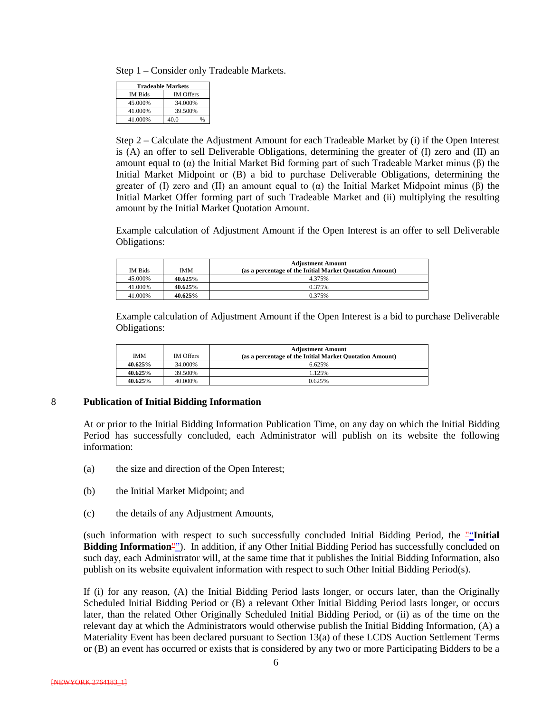Step 1 – Consider only Tradeable Markets.

| <b>Tradeable Markets</b> |                       |  |  |
|--------------------------|-----------------------|--|--|
| IM Bids                  | <b>IM</b> Offers      |  |  |
| 45.000%                  | 34.000%               |  |  |
| 41.000%                  | 39.500%               |  |  |
| 41.000%                  | 40.0<br>$\frac{0}{6}$ |  |  |

Step 2 – Calculate the Adjustment Amount for each Tradeable Market by (i) if the Open Interest is (A) an offer to sell Deliverable Obligations, determining the greater of (I) zero and (II) an amount equal to (α) the Initial Market Bid forming part of such Tradeable Market minus (β) the Initial Market Midpoint or (B) a bid to purchase Deliverable Obligations, determining the greater of (I) zero and (II) an amount equal to (α) the Initial Market Midpoint minus (β) the Initial Market Offer forming part of such Tradeable Market and (ii) multiplying the resulting amount by the Initial Market Quotation Amount.

Example calculation of Adjustment Amount if the Open Interest is an offer to sell Deliverable Obligations:

|                |            | <b>Adjustment Amount</b>                                 |
|----------------|------------|----------------------------------------------------------|
| <b>IM Bids</b> | <b>IMM</b> | (as a percentage of the Initial Market Quotation Amount) |
| 45.000%        | 40.625%    | 4.375%                                                   |
| 41.000%        | 40.625%    | 0.375%                                                   |
| 41.000%        | 40.625%    | 0.375%                                                   |

Example calculation of Adjustment Amount if the Open Interest is a bid to purchase Deliverable Obligations:

| <b>IMM</b> | <b>IM</b> Offers | <b>Adjustment Amount</b><br>(as a percentage of the Initial Market Quotation Amount) |
|------------|------------------|--------------------------------------------------------------------------------------|
| 40.625%    | 34.000%          | 6.625%                                                                               |
| 40.625%    | 39.500%          | 1.125%                                                                               |
| 40.625%    | 40.000%          | 0.625%                                                                               |

#### 8 **Publication of Initial Bidding Information**

At or prior to the Initial Bidding Information Publication Time, on any day on which the Initial Bidding Period has successfully concluded, each Administrator will publish on its website the following information:

- (a) the size and direction of the Open Interest;
- (b) the Initial Market Midpoint; and
- (c) the details of any Adjustment Amounts,

(such information with respect to such successfully concluded Initial Bidding Period, the ""**Initial Bidding Information**""). In addition, if any Other Initial Bidding Period has successfully concluded on such day, each Administrator will, at the same time that it publishes the Initial Bidding Information, also publish on its website equivalent information with respect to such Other Initial Bidding Period(s).

If (i) for any reason, (A) the Initial Bidding Period lasts longer, or occurs later, than the Originally Scheduled Initial Bidding Period or (B) a relevant Other Initial Bidding Period lasts longer, or occurs later, than the related Other Originally Scheduled Initial Bidding Period, or (ii) as of the time on the relevant day at which the Administrators would otherwise publish the Initial Bidding Information, (A) a Materiality Event has been declared pursuant to Section 13(a) of these LCDS Auction Settlement Terms or (B) an event has occurred or exists that is considered by any two or more Participating Bidders to be a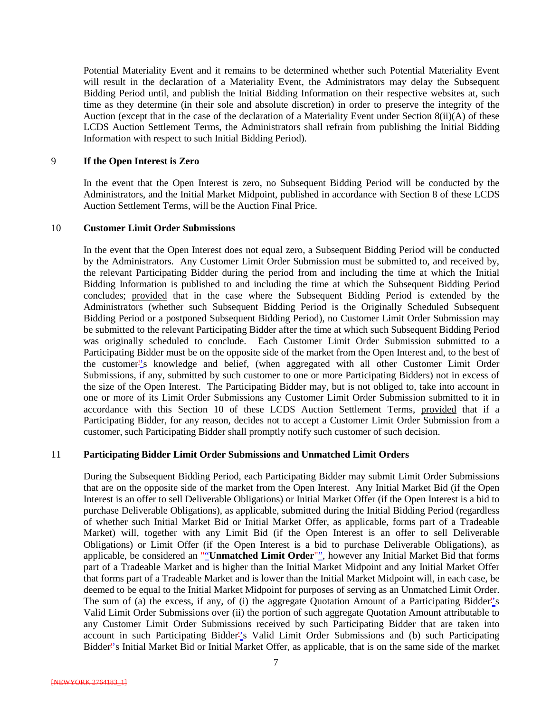Potential Materiality Event and it remains to be determined whether such Potential Materiality Event will result in the declaration of a Materiality Event, the Administrators may delay the Subsequent Bidding Period until, and publish the Initial Bidding Information on their respective websites at, such time as they determine (in their sole and absolute discretion) in order to preserve the integrity of the Auction (except that in the case of the declaration of a Materiality Event under Section 8(ii)(A) of these LCDS Auction Settlement Terms, the Administrators shall refrain from publishing the Initial Bidding Information with respect to such Initial Bidding Period).

#### 9 **If the Open Interest is Zero**

In the event that the Open Interest is zero, no Subsequent Bidding Period will be conducted by the Administrators, and the Initial Market Midpoint, published in accordance with Section 8 of these LCDS Auction Settlement Terms, will be the Auction Final Price.

#### 10 **Customer Limit Order Submissions**

In the event that the Open Interest does not equal zero, a Subsequent Bidding Period will be conducted by the Administrators. Any Customer Limit Order Submission must be submitted to, and received by, the relevant Participating Bidder during the period from and including the time at which the Initial Bidding Information is published to and including the time at which the Subsequent Bidding Period concludes; provided that in the case where the Subsequent Bidding Period is extended by the Administrators (whether such Subsequent Bidding Period is the Originally Scheduled Subsequent Bidding Period or a postponed Subsequent Bidding Period), no Customer Limit Order Submission may be submitted to the relevant Participating Bidder after the time at which such Subsequent Bidding Period was originally scheduled to conclude. Each Customer Limit Order Submission submitted to a Participating Bidder must be on the opposite side of the market from the Open Interest and, to the best of the customer''s knowledge and belief, (when aggregated with all other Customer Limit Order Submissions, if any, submitted by such customer to one or more Participating Bidders) not in excess of the size of the Open Interest. The Participating Bidder may, but is not obliged to, take into account in one or more of its Limit Order Submissions any Customer Limit Order Submission submitted to it in accordance with this Section 10 of these LCDS Auction Settlement Terms, provided that if a Participating Bidder, for any reason, decides not to accept a Customer Limit Order Submission from a customer, such Participating Bidder shall promptly notify such customer of such decision.

#### 11 **Participating Bidder Limit Order Submissions and Unmatched Limit Orders**

During the Subsequent Bidding Period, each Participating Bidder may submit Limit Order Submissions that are on the opposite side of the market from the Open Interest. Any Initial Market Bid (if the Open Interest is an offer to sell Deliverable Obligations) or Initial Market Offer (if the Open Interest is a bid to purchase Deliverable Obligations), as applicable, submitted during the Initial Bidding Period (regardless of whether such Initial Market Bid or Initial Market Offer, as applicable, forms part of a Tradeable Market) will, together with any Limit Bid (if the Open Interest is an offer to sell Deliverable Obligations) or Limit Offer (if the Open Interest is a bid to purchase Deliverable Obligations), as applicable, be considered an ""Unmatched Limit Order"", however any Initial Market Bid that forms part of a Tradeable Market and is higher than the Initial Market Midpoint and any Initial Market Offer that forms part of a Tradeable Market and is lower than the Initial Market Midpoint will, in each case, be deemed to be equal to the Initial Market Midpoint for purposes of serving as an Unmatched Limit Order. The sum of (a) the excess, if any, of (i) the aggregate Quotation Amount of a Participating Bidder''s Valid Limit Order Submissions over (ii) the portion of such aggregate Quotation Amount attributable to any Customer Limit Order Submissions received by such Participating Bidder that are taken into account in such Participating Bidder''s Valid Limit Order Submissions and (b) such Participating Bidder''s Initial Market Bid or Initial Market Offer, as applicable, that is on the same side of the market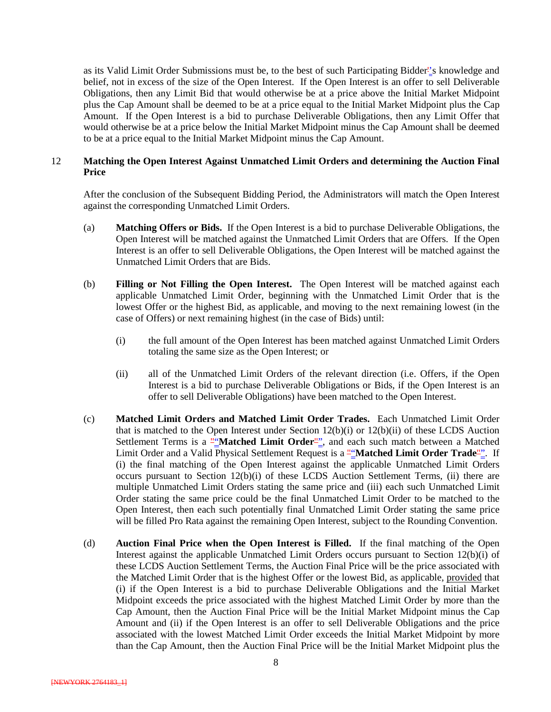as its Valid Limit Order Submissions must be, to the best of such Participating Bidder''s knowledge and belief, not in excess of the size of the Open Interest. If the Open Interest is an offer to sell Deliverable Obligations, then any Limit Bid that would otherwise be at a price above the Initial Market Midpoint plus the Cap Amount shall be deemed to be at a price equal to the Initial Market Midpoint plus the Cap Amount. If the Open Interest is a bid to purchase Deliverable Obligations, then any Limit Offer that would otherwise be at a price below the Initial Market Midpoint minus the Cap Amount shall be deemed to be at a price equal to the Initial Market Midpoint minus the Cap Amount.

#### 12 **Matching the Open Interest Against Unmatched Limit Orders and determining the Auction Final Price**

After the conclusion of the Subsequent Bidding Period, the Administrators will match the Open Interest against the corresponding Unmatched Limit Orders.

- (a) **Matching Offers or Bids.** If the Open Interest is a bid to purchase Deliverable Obligations, the Open Interest will be matched against the Unmatched Limit Orders that are Offers. If the Open Interest is an offer to sell Deliverable Obligations, the Open Interest will be matched against the Unmatched Limit Orders that are Bids.
- (b) **Filling or Not Filling the Open Interest.** The Open Interest will be matched against each applicable Unmatched Limit Order, beginning with the Unmatched Limit Order that is the lowest Offer or the highest Bid, as applicable, and moving to the next remaining lowest (in the case of Offers) or next remaining highest (in the case of Bids) until:
	- (i) the full amount of the Open Interest has been matched against Unmatched Limit Orders totaling the same size as the Open Interest; or
	- (ii) all of the Unmatched Limit Orders of the relevant direction (i.e. Offers, if the Open Interest is a bid to purchase Deliverable Obligations or Bids, if the Open Interest is an offer to sell Deliverable Obligations) have been matched to the Open Interest.
- (c) **Matched Limit Orders and Matched Limit Order Trades.** Each Unmatched Limit Order that is matched to the Open Interest under Section 12(b)(i) or 12(b)(ii) of these LCDS Auction Settlement Terms is a "**Matched Limit Order**", and each such match between a Matched Limit Order and a Valid Physical Settlement Request is a ""Matched Limit Order Trade<sup>""</sup>. If (i) the final matching of the Open Interest against the applicable Unmatched Limit Orders occurs pursuant to Section 12(b)(i) of these LCDS Auction Settlement Terms, (ii) there are multiple Unmatched Limit Orders stating the same price and (iii) each such Unmatched Limit Order stating the same price could be the final Unmatched Limit Order to be matched to the Open Interest, then each such potentially final Unmatched Limit Order stating the same price will be filled Pro Rata against the remaining Open Interest, subject to the Rounding Convention.
- (d) **Auction Final Price when the Open Interest is Filled.** If the final matching of the Open Interest against the applicable Unmatched Limit Orders occurs pursuant to Section 12(b)(i) of these LCDS Auction Settlement Terms, the Auction Final Price will be the price associated with the Matched Limit Order that is the highest Offer or the lowest Bid, as applicable, provided that (i) if the Open Interest is a bid to purchase Deliverable Obligations and the Initial Market Midpoint exceeds the price associated with the highest Matched Limit Order by more than the Cap Amount, then the Auction Final Price will be the Initial Market Midpoint minus the Cap Amount and (ii) if the Open Interest is an offer to sell Deliverable Obligations and the price associated with the lowest Matched Limit Order exceeds the Initial Market Midpoint by more than the Cap Amount, then the Auction Final Price will be the Initial Market Midpoint plus the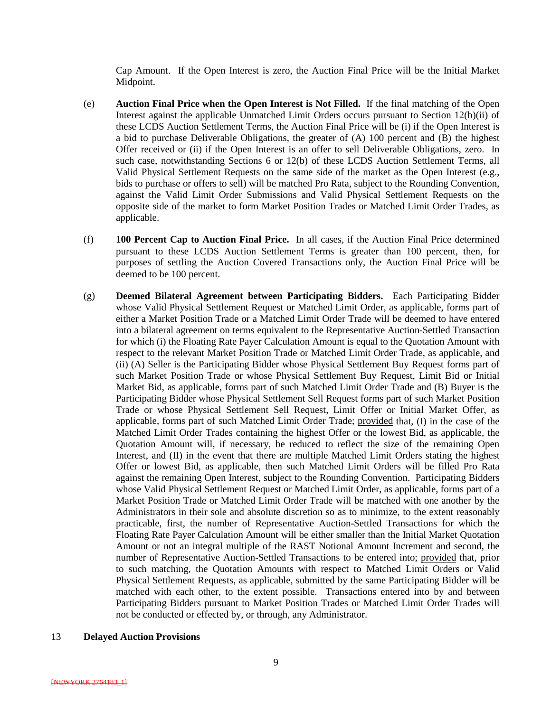Cap Amount. If the Open Interest is zero, the Auction Final Price will be the Initial Market Midpoint.

- (e) **Auction Final Price when the Open Interest is Not Filled.** If the final matching of the Open Interest against the applicable Unmatched Limit Orders occurs pursuant to Section 12(b)(ii) of these LCDS Auction Settlement Terms, the Auction Final Price will be (i) if the Open Interest is a bid to purchase Deliverable Obligations, the greater of (A) 100 percent and (B) the highest Offer received or (ii) if the Open Interest is an offer to sell Deliverable Obligations, zero. In such case, notwithstanding Sections 6 or 12(b) of these LCDS Auction Settlement Terms, all Valid Physical Settlement Requests on the same side of the market as the Open Interest (e.g., bids to purchase or offers to sell) will be matched Pro Rata, subject to the Rounding Convention, against the Valid Limit Order Submissions and Valid Physical Settlement Requests on the opposite side of the market to form Market Position Trades or Matched Limit Order Trades, as applicable.
- (f) **100 Percent Cap to Auction Final Price.** In all cases, if the Auction Final Price determined pursuant to these LCDS Auction Settlement Terms is greater than 100 percent, then, for purposes of settling the Auction Covered Transactions only, the Auction Final Price will be deemed to be 100 percent.
- (g) **Deemed Bilateral Agreement between Participating Bidders.** Each Participating Bidder whose Valid Physical Settlement Request or Matched Limit Order, as applicable, forms part of either a Market Position Trade or a Matched Limit Order Trade will be deemed to have entered into a bilateral agreement on terms equivalent to the Representative Auction-Settled Transaction for which (i) the Floating Rate Payer Calculation Amount is equal to the Quotation Amount with respect to the relevant Market Position Trade or Matched Limit Order Trade, as applicable, and (ii) (A) Seller is the Participating Bidder whose Physical Settlement Buy Request forms part of such Market Position Trade or whose Physical Settlement Buy Request, Limit Bid or Initial Market Bid, as applicable, forms part of such Matched Limit Order Trade and (B) Buyer is the Participating Bidder whose Physical Settlement Sell Request forms part of such Market Position Trade or whose Physical Settlement Sell Request, Limit Offer or Initial Market Offer, as applicable, forms part of such Matched Limit Order Trade; provided that, (I) in the case of the Matched Limit Order Trades containing the highest Offer or the lowest Bid, as applicable, the Quotation Amount will, if necessary, be reduced to reflect the size of the remaining Open Interest, and (II) in the event that there are multiple Matched Limit Orders stating the highest Offer or lowest Bid, as applicable, then such Matched Limit Orders will be filled Pro Rata against the remaining Open Interest, subject to the Rounding Convention. Participating Bidders whose Valid Physical Settlement Request or Matched Limit Order, as applicable, forms part of a Market Position Trade or Matched Limit Order Trade will be matched with one another by the Administrators in their sole and absolute discretion so as to minimize, to the extent reasonably practicable, first, the number of Representative Auction-Settled Transactions for which the Floating Rate Payer Calculation Amount will be either smaller than the Initial Market Quotation Amount or not an integral multiple of the RAST Notional Amount Increment and second, the number of Representative Auction-Settled Transactions to be entered into; provided that, prior to such matching, the Quotation Amounts with respect to Matched Limit Orders or Valid Physical Settlement Requests, as applicable, submitted by the same Participating Bidder will be matched with each other, to the extent possible. Transactions entered into by and between Participating Bidders pursuant to Market Position Trades or Matched Limit Order Trades will not be conducted or effected by, or through, any Administrator.

#### 13 **Delayed Auction Provisions**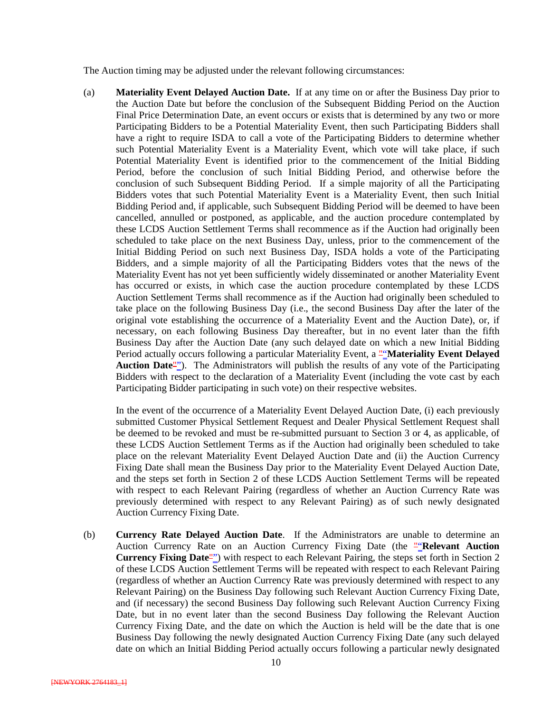The Auction timing may be adjusted under the relevant following circumstances:

(a) **Materiality Event Delayed Auction Date.** If at any time on or after the Business Day prior to the Auction Date but before the conclusion of the Subsequent Bidding Period on the Auction Final Price Determination Date, an event occurs or exists that is determined by any two or more Participating Bidders to be a Potential Materiality Event, then such Participating Bidders shall have a right to require ISDA to call a vote of the Participating Bidders to determine whether such Potential Materiality Event is a Materiality Event, which vote will take place, if such Potential Materiality Event is identified prior to the commencement of the Initial Bidding Period, before the conclusion of such Initial Bidding Period, and otherwise before the conclusion of such Subsequent Bidding Period. If a simple majority of all the Participating Bidders votes that such Potential Materiality Event is a Materiality Event, then such Initial Bidding Period and, if applicable, such Subsequent Bidding Period will be deemed to have been cancelled, annulled or postponed, as applicable, and the auction procedure contemplated by these LCDS Auction Settlement Terms shall recommence as if the Auction had originally been scheduled to take place on the next Business Day, unless, prior to the commencement of the Initial Bidding Period on such next Business Day, ISDA holds a vote of the Participating Bidders, and a simple majority of all the Participating Bidders votes that the news of the Materiality Event has not yet been sufficiently widely disseminated or another Materiality Event has occurred or exists, in which case the auction procedure contemplated by these LCDS Auction Settlement Terms shall recommence as if the Auction had originally been scheduled to take place on the following Business Day (i.e., the second Business Day after the later of the original vote establishing the occurrence of a Materiality Event and the Auction Date), or, if necessary, on each following Business Day thereafter, but in no event later than the fifth Business Day after the Auction Date (any such delayed date on which a new Initial Bidding Period actually occurs following a particular Materiality Event, a ""Materiality Event Delayed Auction Date<sup>"</sup>"). The Administrators will publish the results of any vote of the Participating Bidders with respect to the declaration of a Materiality Event (including the vote cast by each Participating Bidder participating in such vote) on their respective websites.

In the event of the occurrence of a Materiality Event Delayed Auction Date, (i) each previously submitted Customer Physical Settlement Request and Dealer Physical Settlement Request shall be deemed to be revoked and must be re-submitted pursuant to Section 3 or 4, as applicable, of these LCDS Auction Settlement Terms as if the Auction had originally been scheduled to take place on the relevant Materiality Event Delayed Auction Date and (ii) the Auction Currency Fixing Date shall mean the Business Day prior to the Materiality Event Delayed Auction Date, and the steps set forth in Section 2 of these LCDS Auction Settlement Terms will be repeated with respect to each Relevant Pairing (regardless of whether an Auction Currency Rate was previously determined with respect to any Relevant Pairing) as of such newly designated Auction Currency Fixing Date.

(b) **Currency Rate Delayed Auction Date**. If the Administrators are unable to determine an Auction Currency Rate on an Auction Currency Fixing Date (the "**Relevant Auction**" **Currency Fixing Date**"") with respect to each Relevant Pairing, the steps set forth in Section 2 of these LCDS Auction Settlement Terms will be repeated with respect to each Relevant Pairing (regardless of whether an Auction Currency Rate was previously determined with respect to any Relevant Pairing) on the Business Day following such Relevant Auction Currency Fixing Date, and (if necessary) the second Business Day following such Relevant Auction Currency Fixing Date, but in no event later than the second Business Day following the Relevant Auction Currency Fixing Date, and the date on which the Auction is held will be the date that is one Business Day following the newly designated Auction Currency Fixing Date (any such delayed date on which an Initial Bidding Period actually occurs following a particular newly designated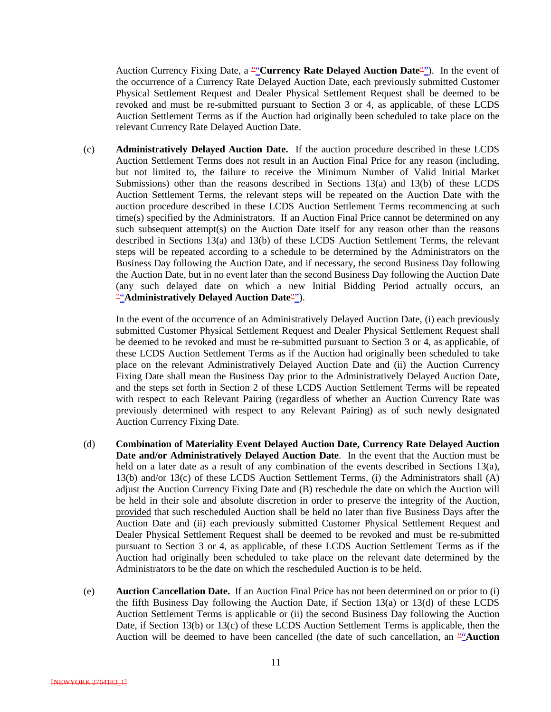Auction Currency Fixing Date, a ""**Currency Rate Delayed Auction Date**""). In the event of the occurrence of a Currency Rate Delayed Auction Date, each previously submitted Customer Physical Settlement Request and Dealer Physical Settlement Request shall be deemed to be revoked and must be re-submitted pursuant to Section 3 or 4, as applicable, of these LCDS Auction Settlement Terms as if the Auction had originally been scheduled to take place on the relevant Currency Rate Delayed Auction Date.

(c) **Administratively Delayed Auction Date.** If the auction procedure described in these LCDS Auction Settlement Terms does not result in an Auction Final Price for any reason (including, but not limited to, the failure to receive the Minimum Number of Valid Initial Market Submissions) other than the reasons described in Sections 13(a) and 13(b) of these LCDS Auction Settlement Terms, the relevant steps will be repeated on the Auction Date with the auction procedure described in these LCDS Auction Settlement Terms recommencing at such time(s) specified by the Administrators. If an Auction Final Price cannot be determined on any such subsequent attempt(s) on the Auction Date itself for any reason other than the reasons described in Sections 13(a) and 13(b) of these LCDS Auction Settlement Terms, the relevant steps will be repeated according to a schedule to be determined by the Administrators on the Business Day following the Auction Date, and if necessary, the second Business Day following the Auction Date, but in no event later than the second Business Day following the Auction Date (any such delayed date on which a new Initial Bidding Period actually occurs, an ""**Administratively Delayed Auction Date**"").

In the event of the occurrence of an Administratively Delayed Auction Date, (i) each previously submitted Customer Physical Settlement Request and Dealer Physical Settlement Request shall be deemed to be revoked and must be re-submitted pursuant to Section 3 or 4, as applicable, of these LCDS Auction Settlement Terms as if the Auction had originally been scheduled to take place on the relevant Administratively Delayed Auction Date and (ii) the Auction Currency Fixing Date shall mean the Business Day prior to the Administratively Delayed Auction Date, and the steps set forth in Section 2 of these LCDS Auction Settlement Terms will be repeated with respect to each Relevant Pairing (regardless of whether an Auction Currency Rate was previously determined with respect to any Relevant Pairing) as of such newly designated Auction Currency Fixing Date.

- (d) **Combination of Materiality Event Delayed Auction Date, Currency Rate Delayed Auction Date and/or Administratively Delayed Auction Date**. In the event that the Auction must be held on a later date as a result of any combination of the events described in Sections 13(a), 13(b) and/or 13(c) of these LCDS Auction Settlement Terms, (i) the Administrators shall (A) adjust the Auction Currency Fixing Date and (B) reschedule the date on which the Auction will be held in their sole and absolute discretion in order to preserve the integrity of the Auction, provided that such rescheduled Auction shall be held no later than five Business Days after the Auction Date and (ii) each previously submitted Customer Physical Settlement Request and Dealer Physical Settlement Request shall be deemed to be revoked and must be re-submitted pursuant to Section 3 or 4, as applicable, of these LCDS Auction Settlement Terms as if the Auction had originally been scheduled to take place on the relevant date determined by the Administrators to be the date on which the rescheduled Auction is to be held.
- (e) **Auction Cancellation Date.** If an Auction Final Price has not been determined on or prior to (i) the fifth Business Day following the Auction Date, if Section 13(a) or 13(d) of these LCDS Auction Settlement Terms is applicable or (ii) the second Business Day following the Auction Date, if Section 13(b) or 13(c) of these LCDS Auction Settlement Terms is applicable, then the Auction will be deemed to have been cancelled (the date of such cancellation, an  $\frac{\pi}{2}$ **Auction**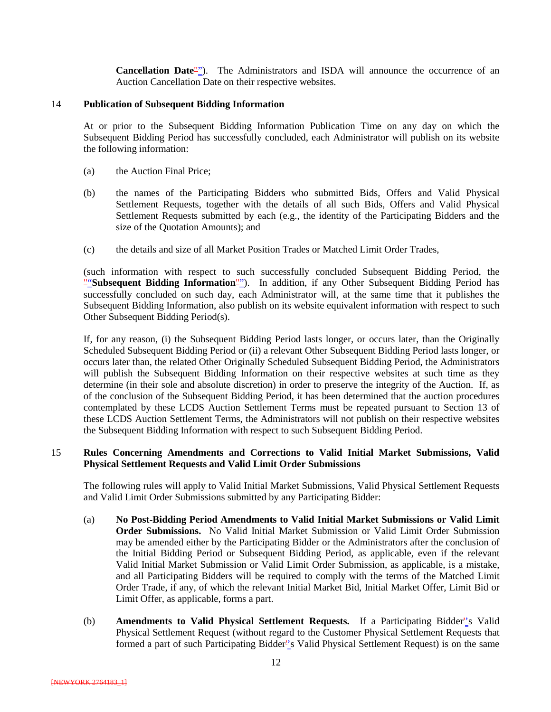**Cancellation Date**""). The Administrators and ISDA will announce the occurrence of an Auction Cancellation Date on their respective websites.

#### 14 **Publication of Subsequent Bidding Information**

At or prior to the Subsequent Bidding Information Publication Time on any day on which the Subsequent Bidding Period has successfully concluded, each Administrator will publish on its website the following information:

- (a) the Auction Final Price;
- (b) the names of the Participating Bidders who submitted Bids, Offers and Valid Physical Settlement Requests, together with the details of all such Bids, Offers and Valid Physical Settlement Requests submitted by each (e.g., the identity of the Participating Bidders and the size of the Quotation Amounts); and
- (c) the details and size of all Market Position Trades or Matched Limit Order Trades,

(such information with respect to such successfully concluded Subsequent Bidding Period, the ""**Subsequent Bidding Information**""). In addition, if any Other Subsequent Bidding Period has successfully concluded on such day, each Administrator will, at the same time that it publishes the Subsequent Bidding Information, also publish on its website equivalent information with respect to such Other Subsequent Bidding Period(s).

If, for any reason, (i) the Subsequent Bidding Period lasts longer, or occurs later, than the Originally Scheduled Subsequent Bidding Period or (ii) a relevant Other Subsequent Bidding Period lasts longer, or occurs later than, the related Other Originally Scheduled Subsequent Bidding Period, the Administrators will publish the Subsequent Bidding Information on their respective websites at such time as they determine (in their sole and absolute discretion) in order to preserve the integrity of the Auction. If, as of the conclusion of the Subsequent Bidding Period, it has been determined that the auction procedures contemplated by these LCDS Auction Settlement Terms must be repeated pursuant to Section 13 of these LCDS Auction Settlement Terms, the Administrators will not publish on their respective websites the Subsequent Bidding Information with respect to such Subsequent Bidding Period.

#### 15 **Rules Concerning Amendments and Corrections to Valid Initial Market Submissions, Valid Physical Settlement Requests and Valid Limit Order Submissions**

The following rules will apply to Valid Initial Market Submissions, Valid Physical Settlement Requests and Valid Limit Order Submissions submitted by any Participating Bidder:

- (a) **No Post-Bidding Period Amendments to Valid Initial Market Submissions or Valid Limit Order Submissions.** No Valid Initial Market Submission or Valid Limit Order Submission may be amended either by the Participating Bidder or the Administrators after the conclusion of the Initial Bidding Period or Subsequent Bidding Period, as applicable, even if the relevant Valid Initial Market Submission or Valid Limit Order Submission, as applicable, is a mistake, and all Participating Bidders will be required to comply with the terms of the Matched Limit Order Trade, if any, of which the relevant Initial Market Bid, Initial Market Offer, Limit Bid or Limit Offer, as applicable, forms a part.
- (b) **Amendments to Valid Physical Settlement Requests.** If a Participating Bidder''s Valid Physical Settlement Request (without regard to the Customer Physical Settlement Requests that formed a part of such Participating Bidder''s Valid Physical Settlement Request) is on the same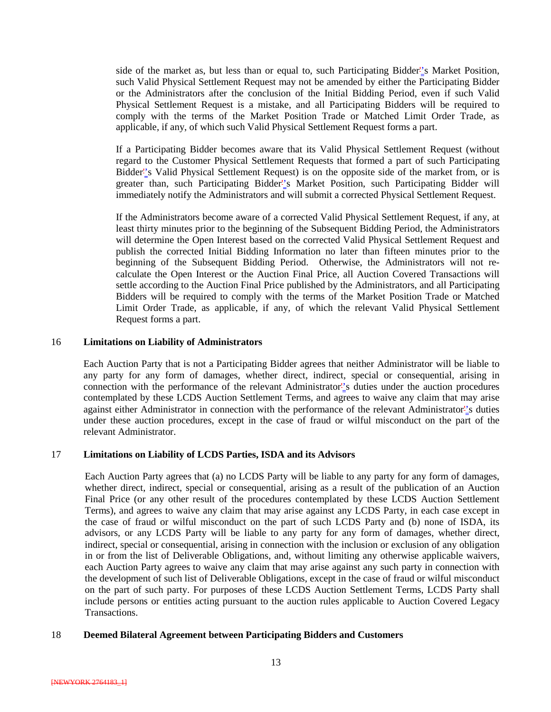side of the market as, but less than or equal to, such Participating Bidder''s Market Position, such Valid Physical Settlement Request may not be amended by either the Participating Bidder or the Administrators after the conclusion of the Initial Bidding Period, even if such Valid Physical Settlement Request is a mistake, and all Participating Bidders will be required to comply with the terms of the Market Position Trade or Matched Limit Order Trade, as applicable, if any, of which such Valid Physical Settlement Request forms a part.

If a Participating Bidder becomes aware that its Valid Physical Settlement Request (without regard to the Customer Physical Settlement Requests that formed a part of such Participating Bidder''s Valid Physical Settlement Request) is on the opposite side of the market from, or is greater than, such Participating Bidder''s Market Position, such Participating Bidder will immediately notify the Administrators and will submit a corrected Physical Settlement Request.

If the Administrators become aware of a corrected Valid Physical Settlement Request, if any, at least thirty minutes prior to the beginning of the Subsequent Bidding Period, the Administrators will determine the Open Interest based on the corrected Valid Physical Settlement Request and publish the corrected Initial Bidding Information no later than fifteen minutes prior to the beginning of the Subsequent Bidding Period. Otherwise, the Administrators will not recalculate the Open Interest or the Auction Final Price, all Auction Covered Transactions will settle according to the Auction Final Price published by the Administrators, and all Participating Bidders will be required to comply with the terms of the Market Position Trade or Matched Limit Order Trade, as applicable, if any, of which the relevant Valid Physical Settlement Request forms a part.

#### 16 **Limitations on Liability of Administrators**

Each Auction Party that is not a Participating Bidder agrees that neither Administrator will be liable to any party for any form of damages, whether direct, indirect, special or consequential, arising in connection with the performance of the relevant Administrator''s duties under the auction procedures contemplated by these LCDS Auction Settlement Terms, and agrees to waive any claim that may arise against either Administrator in connection with the performance of the relevant Administrator''s duties under these auction procedures, except in the case of fraud or wilful misconduct on the part of the relevant Administrator.

#### 17 **Limitations on Liability of LCDS Parties, ISDA and its Advisors**

Each Auction Party agrees that (a) no LCDS Party will be liable to any party for any form of damages, whether direct, indirect, special or consequential, arising as a result of the publication of an Auction Final Price (or any other result of the procedures contemplated by these LCDS Auction Settlement Terms), and agrees to waive any claim that may arise against any LCDS Party, in each case except in the case of fraud or wilful misconduct on the part of such LCDS Party and (b) none of ISDA, its advisors, or any LCDS Party will be liable to any party for any form of damages, whether direct, indirect, special or consequential, arising in connection with the inclusion or exclusion of any obligation in or from the list of Deliverable Obligations, and, without limiting any otherwise applicable waivers, each Auction Party agrees to waive any claim that may arise against any such party in connection with the development of such list of Deliverable Obligations, except in the case of fraud or wilful misconduct on the part of such party. For purposes of these LCDS Auction Settlement Terms, LCDS Party shall include persons or entities acting pursuant to the auction rules applicable to Auction Covered Legacy Transactions.

#### 18 **Deemed Bilateral Agreement between Participating Bidders and Customers**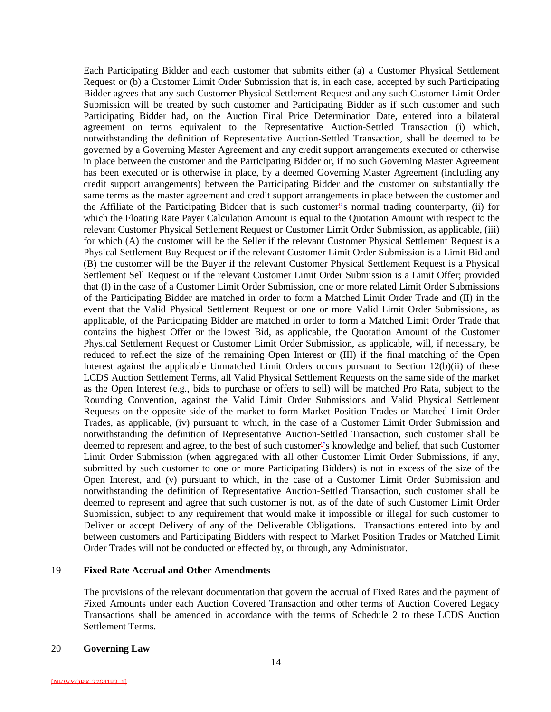Each Participating Bidder and each customer that submits either (a) a Customer Physical Settlement Request or (b) a Customer Limit Order Submission that is, in each case, accepted by such Participating Bidder agrees that any such Customer Physical Settlement Request and any such Customer Limit Order Submission will be treated by such customer and Participating Bidder as if such customer and such Participating Bidder had, on the Auction Final Price Determination Date, entered into a bilateral agreement on terms equivalent to the Representative Auction-Settled Transaction (i) which, notwithstanding the definition of Representative Auction-Settled Transaction, shall be deemed to be governed by a Governing Master Agreement and any credit support arrangements executed or otherwise in place between the customer and the Participating Bidder or, if no such Governing Master Agreement has been executed or is otherwise in place, by a deemed Governing Master Agreement (including any credit support arrangements) between the Participating Bidder and the customer on substantially the same terms as the master agreement and credit support arrangements in place between the customer and the Affiliate of the Participating Bidder that is such customer''s normal trading counterparty, (ii) for which the Floating Rate Payer Calculation Amount is equal to the Quotation Amount with respect to the relevant Customer Physical Settlement Request or Customer Limit Order Submission, as applicable, (iii) for which (A) the customer will be the Seller if the relevant Customer Physical Settlement Request is a Physical Settlement Buy Request or if the relevant Customer Limit Order Submission is a Limit Bid and (B) the customer will be the Buyer if the relevant Customer Physical Settlement Request is a Physical Settlement Sell Request or if the relevant Customer Limit Order Submission is a Limit Offer; provided that (I) in the case of a Customer Limit Order Submission, one or more related Limit Order Submissions of the Participating Bidder are matched in order to form a Matched Limit Order Trade and (II) in the event that the Valid Physical Settlement Request or one or more Valid Limit Order Submissions, as applicable, of the Participating Bidder are matched in order to form a Matched Limit Order Trade that contains the highest Offer or the lowest Bid, as applicable, the Quotation Amount of the Customer Physical Settlement Request or Customer Limit Order Submission, as applicable, will, if necessary, be reduced to reflect the size of the remaining Open Interest or (III) if the final matching of the Open Interest against the applicable Unmatched Limit Orders occurs pursuant to Section 12(b)(ii) of these LCDS Auction Settlement Terms, all Valid Physical Settlement Requests on the same side of the market as the Open Interest (e.g., bids to purchase or offers to sell) will be matched Pro Rata, subject to the Rounding Convention, against the Valid Limit Order Submissions and Valid Physical Settlement Requests on the opposite side of the market to form Market Position Trades or Matched Limit Order Trades, as applicable, (iv) pursuant to which, in the case of a Customer Limit Order Submission and notwithstanding the definition of Representative Auction-Settled Transaction, such customer shall be deemed to represent and agree, to the best of such customer''s knowledge and belief, that such Customer Limit Order Submission (when aggregated with all other Customer Limit Order Submissions, if any, submitted by such customer to one or more Participating Bidders) is not in excess of the size of the Open Interest, and (v) pursuant to which, in the case of a Customer Limit Order Submission and notwithstanding the definition of Representative Auction-Settled Transaction, such customer shall be deemed to represent and agree that such customer is not, as of the date of such Customer Limit Order Submission, subject to any requirement that would make it impossible or illegal for such customer to Deliver or accept Delivery of any of the Deliverable Obligations. Transactions entered into by and between customers and Participating Bidders with respect to Market Position Trades or Matched Limit Order Trades will not be conducted or effected by, or through, any Administrator.

#### 19 **Fixed Rate Accrual and Other Amendments**

The provisions of the relevant documentation that govern the accrual of Fixed Rates and the payment of Fixed Amounts under each Auction Covered Transaction and other terms of Auction Covered Legacy Transactions shall be amended in accordance with the terms of Schedule 2 to these LCDS Auction Settlement Terms.

#### 20 **Governing Law**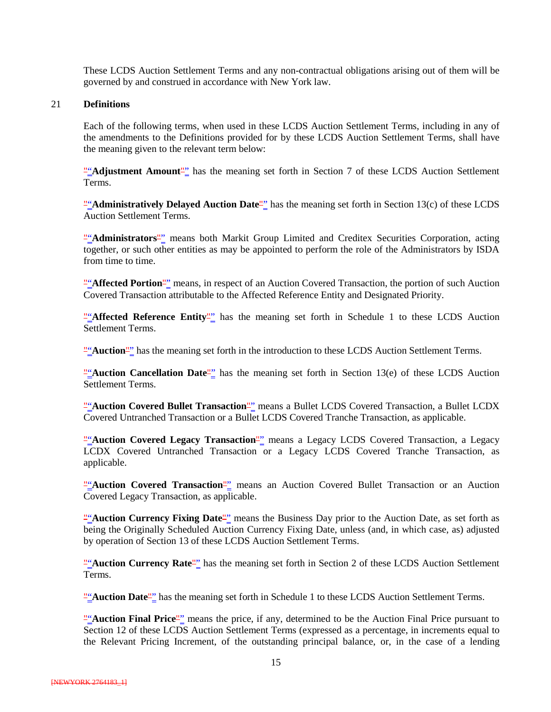These LCDS Auction Settlement Terms and any non-contractual obligations arising out of them will be governed by and construed in accordance with New York law.

#### 21 **Definitions**

Each of the following terms, when used in these LCDS Auction Settlement Terms, including in any of the amendments to the Definitions provided for by these LCDS Auction Settlement Terms, shall have the meaning given to the relevant term below:

""Adjustment Amount"" has the meaning set forth in Section 7 of these LCDS Auction Settlement Terms.

""Administratively Delayed Auction Date"<sup>"</sup> has the meaning set forth in Section 13(c) of these LCDS Auction Settlement Terms.

""**Administrators**"" means both Markit Group Limited and Creditex Securities Corporation, acting together, or such other entities as may be appointed to perform the role of the Administrators by ISDA from time to time.

""**Affected Portion**"" means, in respect of an Auction Covered Transaction, the portion of such Auction Covered Transaction attributable to the Affected Reference Entity and Designated Priority.

""**Affected Reference Entity**"" has the meaning set forth in Schedule 1 to these LCDS Auction Settlement Terms.

""Auction" has the meaning set forth in the introduction to these LCDS Auction Settlement Terms.

""**Auction Cancellation Date**"" has the meaning set forth in Section 13(e) of these LCDS Auction Settlement Terms.

""**Auction Covered Bullet Transaction**"" means a Bullet LCDS Covered Transaction, a Bullet LCDX Covered Untranched Transaction or a Bullet LCDS Covered Tranche Transaction, as applicable.

"Auction Covered Legacy Transaction<sup>"</sup> means a Legacy LCDS Covered Transaction, a Legacy LCDX Covered Untranched Transaction or a Legacy LCDS Covered Tranche Transaction, as applicable.

""Auction Covered Transaction<sup>""</sup> means an Auction Covered Bullet Transaction or an Auction Covered Legacy Transaction, as applicable.

""Auction Currency Fixing Date"" means the Business Day prior to the Auction Date, as set forth as being the Originally Scheduled Auction Currency Fixing Date, unless (and, in which case, as) adjusted by operation of Section 13 of these LCDS Auction Settlement Terms.

""Auction Currency Rate"" has the meaning set forth in Section 2 of these LCDS Auction Settlement Terms.

""**Auction Date**"" has the meaning set forth in Schedule 1 to these LCDS Auction Settlement Terms.

""**Auction Final Price**"" means the price, if any, determined to be the Auction Final Price pursuant to Section 12 of these LCDS Auction Settlement Terms (expressed as a percentage, in increments equal to the Relevant Pricing Increment, of the outstanding principal balance, or, in the case of a lending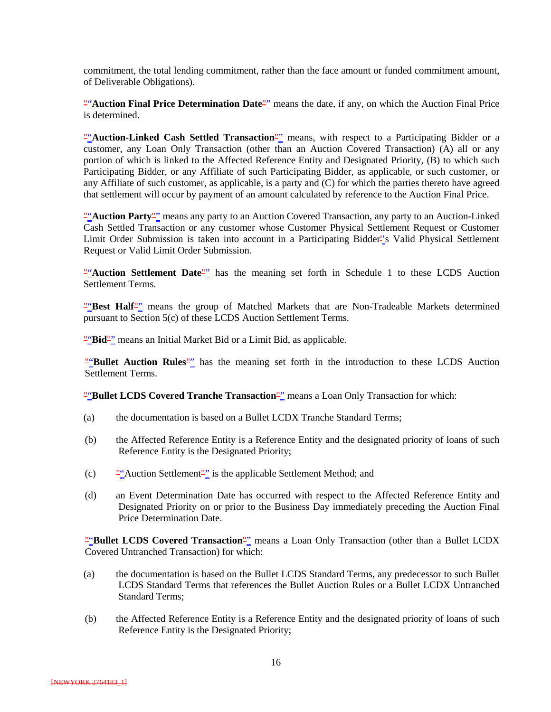commitment, the total lending commitment, rather than the face amount or funded commitment amount, of Deliverable Obligations).

""**Auction Final Price Determination Date**"" means the date, if any, on which the Auction Final Price is determined.

"Auction-Linked Cash Settled Transaction<sup>"</sup> means, with respect to a Participating Bidder or a customer, any Loan Only Transaction (other than an Auction Covered Transaction) (A) all or any portion of which is linked to the Affected Reference Entity and Designated Priority, (B) to which such Participating Bidder, or any Affiliate of such Participating Bidder, as applicable, or such customer, or any Affiliate of such customer, as applicable, is a party and (C) for which the parties thereto have agreed that settlement will occur by payment of an amount calculated by reference to the Auction Final Price.

""**Auction Party**"" means any party to an Auction Covered Transaction, any party to an Auction-Linked Cash Settled Transaction or any customer whose Customer Physical Settlement Request or Customer Limit Order Submission is taken into account in a Participating Bidder''s Valid Physical Settlement Request or Valid Limit Order Submission.

""Auction Settlement Date<sup>""</sup> has the meaning set forth in Schedule 1 to these LCDS Auction Settlement Terms.

"Best Half<sup>"</sup> means the group of Matched Markets that are Non-Tradeable Markets determined pursuant to Section 5(c) of these LCDS Auction Settlement Terms.

""Bid"" means an Initial Market Bid or a Limit Bid, as applicable.

""**Bullet Auction Rules**"" has the meaning set forth in the introduction to these LCDS Auction Settlement Terms.

""Bullet LCDS Covered Tranche Transaction<sup>""</sup> means a Loan Only Transaction for which:

- (a) the documentation is based on a Bullet LCDX Tranche Standard Terms;
- (b) the Affected Reference Entity is a Reference Entity and the designated priority of loans of such Reference Entity is the Designated Priority;
- (c) ""Auction Settlement"" is the applicable Settlement Method; and
- (d) an Event Determination Date has occurred with respect to the Affected Reference Entity and Designated Priority on or prior to the Business Day immediately preceding the Auction Final Price Determination Date.

""Bullet LCDS Covered Transaction<sup>""</sup> means a Loan Only Transaction (other than a Bullet LCDX Covered Untranched Transaction) for which:

- (a) the documentation is based on the Bullet LCDS Standard Terms, any predecessor to such Bullet LCDS Standard Terms that references the Bullet Auction Rules or a Bullet LCDX Untranched Standard Terms;
- (b) the Affected Reference Entity is a Reference Entity and the designated priority of loans of such Reference Entity is the Designated Priority;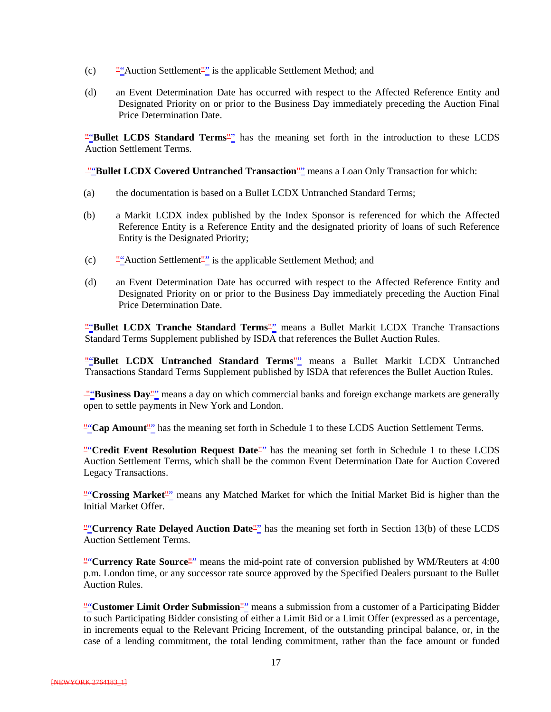- (c) ""Auction Settlement"" is the applicable Settlement Method; and
- (d) an Event Determination Date has occurred with respect to the Affected Reference Entity and Designated Priority on or prior to the Business Day immediately preceding the Auction Final Price Determination Date.

""**Bullet LCDS Standard Terms**"" has the meaning set forth in the introduction to these LCDS Auction Settlement Terms.

**""Bullet LCDX Covered Untranched Transaction"** means a Loan Only Transaction for which:

- (a) the documentation is based on a Bullet LCDX Untranched Standard Terms;
- (b) a Markit LCDX index published by the Index Sponsor is referenced for which the Affected Reference Entity is a Reference Entity and the designated priority of loans of such Reference Entity is the Designated Priority;
- (c) ""Auction Settlement"" is the applicable Settlement Method; and
- (d) an Event Determination Date has occurred with respect to the Affected Reference Entity and Designated Priority on or prior to the Business Day immediately preceding the Auction Final Price Determination Date.

"Bullet LCDX Tranche Standard Terms<sup>"</sup> means a Bullet Markit LCDX Tranche Transactions Standard Terms Supplement published by ISDA that references the Bullet Auction Rules.

""**Bullet LCDX Untranched Standard Terms**"" means a Bullet Markit LCDX Untranched Transactions Standard Terms Supplement published by ISDA that references the Bullet Auction Rules.

""**Business Day**"" means a day on which commercial banks and foreign exchange markets are generally open to settle payments in New York and London.

""Cap Amount"" has the meaning set forth in Schedule 1 to these LCDS Auction Settlement Terms.

"
"Credit Event Resolution Request Date<sup>"</sup> has the meaning set forth in Schedule 1 to these LCDS Auction Settlement Terms, which shall be the common Event Determination Date for Auction Covered Legacy Transactions.

""**Crossing Market**"" means any Matched Market for which the Initial Market Bid is higher than the Initial Market Offer.

"
"Currency Rate Delayed Auction Date<sup>"</sup> has the meaning set forth in Section 13(b) of these LCDS Auction Settlement Terms.

""**Currency Rate Source**"" means the mid-point rate of conversion published by WM/Reuters at 4:00 p.m. London time, or any successor rate source approved by the Specified Dealers pursuant to the Bullet Auction Rules.

**"**"Customer Limit Order Submission"" means a submission from a customer of a Participating Bidder to such Participating Bidder consisting of either a Limit Bid or a Limit Offer (expressed as a percentage, in increments equal to the Relevant Pricing Increment, of the outstanding principal balance, or, in the case of a lending commitment, the total lending commitment, rather than the face amount or funded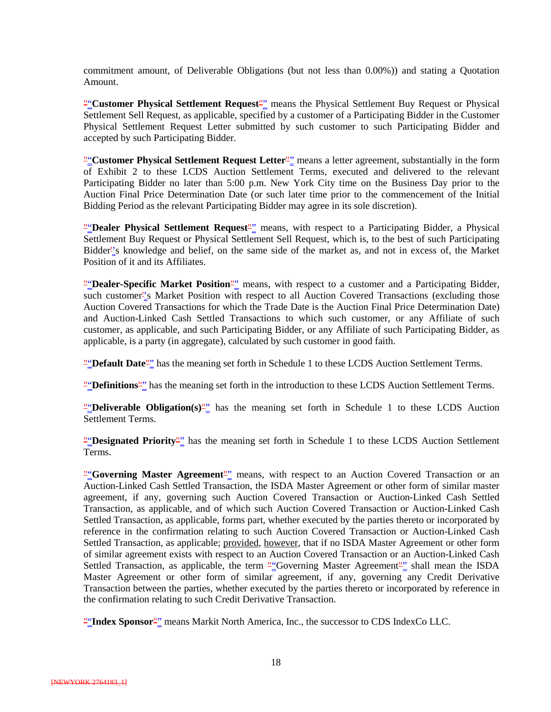commitment amount, of Deliverable Obligations (but not less than 0.00%)) and stating a Quotation Amount.

""**Customer Physical Settlement Request**"" means the Physical Settlement Buy Request or Physical Settlement Sell Request, as applicable, specified by a customer of a Participating Bidder in the Customer Physical Settlement Request Letter submitted by such customer to such Participating Bidder and accepted by such Participating Bidder.

""Customer Physical Settlement Request Letter<sup>""</sup> means a letter agreement, substantially in the form of Exhibit 2 to these LCDS Auction Settlement Terms, executed and delivered to the relevant Participating Bidder no later than 5:00 p.m. New York City time on the Business Day prior to the Auction Final Price Determination Date (or such later time prior to the commencement of the Initial Bidding Period as the relevant Participating Bidder may agree in its sole discretion).

" **"Dealer Physical Settlement Request**" means, with respect to a Participating Bidder, a Physical Settlement Buy Request or Physical Settlement Sell Request, which is, to the best of such Participating Bidder''s knowledge and belief, on the same side of the market as, and not in excess of, the Market Position of it and its Affiliates.

""**Dealer-Specific Market Position**"" means, with respect to a customer and a Participating Bidder, such customer<sup>1</sup>'s Market Position with respect to all Auction Covered Transactions (excluding those Auction Covered Transactions for which the Trade Date is the Auction Final Price Determination Date) and Auction-Linked Cash Settled Transactions to which such customer, or any Affiliate of such customer, as applicable, and such Participating Bidder, or any Affiliate of such Participating Bidder, as applicable, is a party (in aggregate), calculated by such customer in good faith.

""**Default Date**"" has the meaning set forth in Schedule 1 to these LCDS Auction Settlement Terms.

""**Definitions**"" has the meaning set forth in the introduction to these LCDS Auction Settlement Terms.

" **"Deliverable Obligation**(s)<sup>"</sup> has the meaning set forth in Schedule 1 to these LCDS Auction Settlement Terms.

" **"Besignated Priority**" has the meaning set forth in Schedule 1 to these LCDS Auction Settlement Terms.

"<sup>"</sup>Governing Master Agreement<sup>"</sup> means, with respect to an Auction Covered Transaction or an Auction-Linked Cash Settled Transaction, the ISDA Master Agreement or other form of similar master agreement, if any, governing such Auction Covered Transaction or Auction-Linked Cash Settled Transaction, as applicable, and of which such Auction Covered Transaction or Auction-Linked Cash Settled Transaction, as applicable, forms part, whether executed by the parties thereto or incorporated by reference in the confirmation relating to such Auction Covered Transaction or Auction-Linked Cash Settled Transaction, as applicable; provided, however, that if no ISDA Master Agreement or other form of similar agreement exists with respect to an Auction Covered Transaction or an Auction-Linked Cash Settled Transaction, as applicable, the term ""Governing Master Agreement"" shall mean the ISDA Master Agreement or other form of similar agreement, if any, governing any Credit Derivative Transaction between the parties, whether executed by the parties thereto or incorporated by reference in the confirmation relating to such Credit Derivative Transaction.

""**Index Sponsor**"" means Markit North America, Inc., the successor to CDS IndexCo LLC.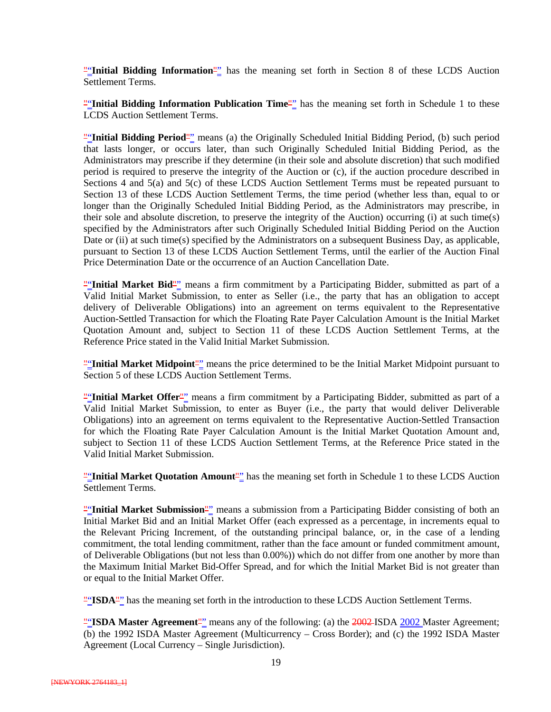""**Initial Bidding Information**"" has the meaning set forth in Section 8 of these LCDS Auction Settlement Terms.

""Initial Bidding Information Publication Time"" has the meaning set forth in Schedule 1 to these LCDS Auction Settlement Terms.

""**Initial Bidding Period**"" means (a) the Originally Scheduled Initial Bidding Period, (b) such period that lasts longer, or occurs later, than such Originally Scheduled Initial Bidding Period, as the Administrators may prescribe if they determine (in their sole and absolute discretion) that such modified period is required to preserve the integrity of the Auction or (c), if the auction procedure described in Sections 4 and 5(a) and 5(c) of these LCDS Auction Settlement Terms must be repeated pursuant to Section 13 of these LCDS Auction Settlement Terms, the time period (whether less than, equal to or longer than the Originally Scheduled Initial Bidding Period, as the Administrators may prescribe, in their sole and absolute discretion, to preserve the integrity of the Auction) occurring (i) at such time(s) specified by the Administrators after such Originally Scheduled Initial Bidding Period on the Auction Date or (ii) at such time(s) specified by the Administrators on a subsequent Business Day, as applicable, pursuant to Section 13 of these LCDS Auction Settlement Terms, until the earlier of the Auction Final Price Determination Date or the occurrence of an Auction Cancellation Date.

""Initial Market Bid"" means a firm commitment by a Participating Bidder, submitted as part of a Valid Initial Market Submission, to enter as Seller (i.e., the party that has an obligation to accept delivery of Deliverable Obligations) into an agreement on terms equivalent to the Representative Auction-Settled Transaction for which the Floating Rate Payer Calculation Amount is the Initial Market Quotation Amount and, subject to Section 11 of these LCDS Auction Settlement Terms, at the Reference Price stated in the Valid Initial Market Submission.

""**Initial Market Midpoint**"" means the price determined to be the Initial Market Midpoint pursuant to Section 5 of these LCDS Auction Settlement Terms.

""Initial Market Offer<sup>"</sup>" means a firm commitment by a Participating Bidder, submitted as part of a Valid Initial Market Submission, to enter as Buyer (i.e., the party that would deliver Deliverable Obligations) into an agreement on terms equivalent to the Representative Auction-Settled Transaction for which the Floating Rate Payer Calculation Amount is the Initial Market Quotation Amount and, subject to Section 11 of these LCDS Auction Settlement Terms, at the Reference Price stated in the Valid Initial Market Submission.

""**Initial Market Quotation Amount**"" has the meaning set forth in Schedule 1 to these LCDS Auction Settlement Terms.

""**Initial Market Submission**"" means a submission from a Participating Bidder consisting of both an Initial Market Bid and an Initial Market Offer (each expressed as a percentage, in increments equal to the Relevant Pricing Increment, of the outstanding principal balance, or, in the case of a lending commitment, the total lending commitment, rather than the face amount or funded commitment amount, of Deliverable Obligations (but not less than 0.00%)) which do not differ from one another by more than the Maximum Initial Market Bid-Offer Spread, and for which the Initial Market Bid is not greater than or equal to the Initial Market Offer.

"**'ISDA"** has the meaning set forth in the introduction to these LCDS Auction Settlement Terms.

"ISDA Master Agreement"" means any of the following: (a) the 2002-ISDA 2002 Master Agreement; (b) the 1992 ISDA Master Agreement (Multicurrency – Cross Border); and (c) the 1992 ISDA Master Agreement (Local Currency – Single Jurisdiction).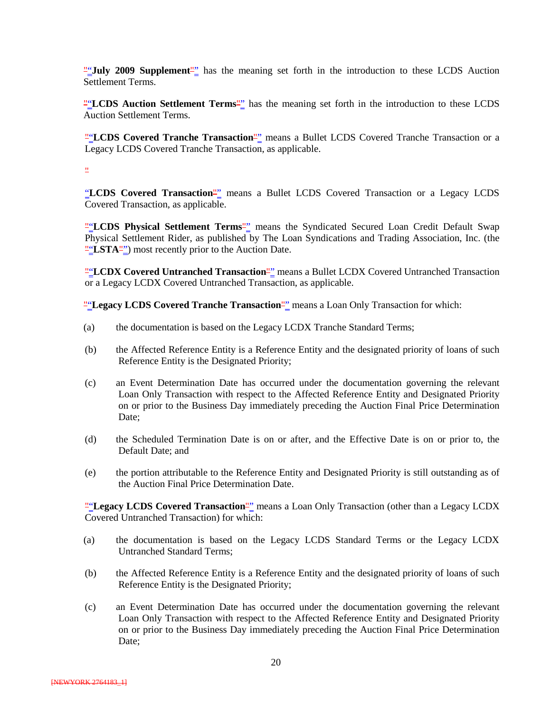""**July 2009 Supplement**"" has the meaning set forth in the introduction to these LCDS Auction Settlement Terms.

""**LCDS Auction Settlement Terms**"" has the meaning set forth in the introduction to these LCDS Auction Settlement Terms.

**"**LCDS Covered Tranche Transaction<sup>"</sup> means a Bullet LCDS Covered Tranche Transaction or a Legacy LCDS Covered Tranche Transaction, as applicable.

"

"LCDS Covered Transaction<sup>""</sup> means a Bullet LCDS Covered Transaction or a Legacy LCDS Covered Transaction, as applicable.

""**LCDS Physical Settlement Terms**"" means the Syndicated Secured Loan Credit Default Swap Physical Settlement Rider, as published by The Loan Syndications and Trading Association, Inc. (the ""LSTA") most recently prior to the Auction Date.

"LCDX Covered Untranched Transaction<sup>""</sup> means a Bullet LCDX Covered Untranched Transaction or a Legacy LCDX Covered Untranched Transaction, as applicable.

""**Legacy LCDS Covered Tranche Transaction**"" means a Loan Only Transaction for which:

- (a) the documentation is based on the Legacy LCDX Tranche Standard Terms;
- (b) the Affected Reference Entity is a Reference Entity and the designated priority of loans of such Reference Entity is the Designated Priority;
- (c) an Event Determination Date has occurred under the documentation governing the relevant Loan Only Transaction with respect to the Affected Reference Entity and Designated Priority on or prior to the Business Day immediately preceding the Auction Final Price Determination Date:
- (d) the Scheduled Termination Date is on or after, and the Effective Date is on or prior to, the Default Date; and
- (e) the portion attributable to the Reference Entity and Designated Priority is still outstanding as of the Auction Final Price Determination Date.

""Legacy LCDS Covered Transaction<sup>""</sup> means a Loan Only Transaction (other than a Legacy LCDX Covered Untranched Transaction) for which:

- (a) the documentation is based on the Legacy LCDS Standard Terms or the Legacy LCDX Untranched Standard Terms;
- (b) the Affected Reference Entity is a Reference Entity and the designated priority of loans of such Reference Entity is the Designated Priority;
- (c) an Event Determination Date has occurred under the documentation governing the relevant Loan Only Transaction with respect to the Affected Reference Entity and Designated Priority on or prior to the Business Day immediately preceding the Auction Final Price Determination Date: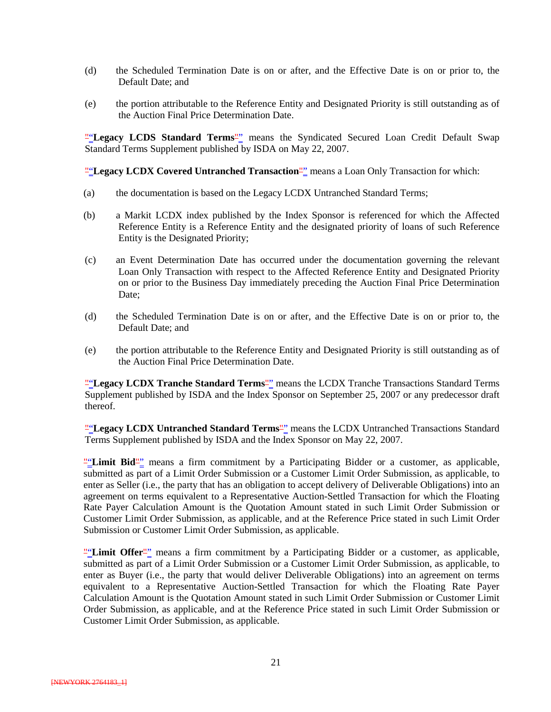- (d) the Scheduled Termination Date is on or after, and the Effective Date is on or prior to, the Default Date; and
- (e) the portion attributable to the Reference Entity and Designated Priority is still outstanding as of the Auction Final Price Determination Date.

"Legacy LCDS Standard Terms<sup>"</sup> means the Syndicated Secured Loan Credit Default Swap Standard Terms Supplement published by ISDA on May 22, 2007.

""**Legacy LCDX Covered Untranched Transaction**"" means a Loan Only Transaction for which:

- (a) the documentation is based on the Legacy LCDX Untranched Standard Terms;
- (b) a Markit LCDX index published by the Index Sponsor is referenced for which the Affected Reference Entity is a Reference Entity and the designated priority of loans of such Reference Entity is the Designated Priority;
- (c) an Event Determination Date has occurred under the documentation governing the relevant Loan Only Transaction with respect to the Affected Reference Entity and Designated Priority on or prior to the Business Day immediately preceding the Auction Final Price Determination Date:
- (d) the Scheduled Termination Date is on or after, and the Effective Date is on or prior to, the Default Date; and
- (e) the portion attributable to the Reference Entity and Designated Priority is still outstanding as of the Auction Final Price Determination Date.

""**Legacy LCDX Tranche Standard Terms**"" means the LCDX Tranche Transactions Standard Terms Supplement published by ISDA and the Index Sponsor on September 25, 2007 or any predecessor draft thereof.

""**Legacy LCDX Untranched Standard Terms**"" means the LCDX Untranched Transactions Standard Terms Supplement published by ISDA and the Index Sponsor on May 22, 2007.

""**Limit Bid**"" means a firm commitment by a Participating Bidder or a customer, as applicable, submitted as part of a Limit Order Submission or a Customer Limit Order Submission, as applicable, to enter as Seller (i.e., the party that has an obligation to accept delivery of Deliverable Obligations) into an agreement on terms equivalent to a Representative Auction-Settled Transaction for which the Floating Rate Payer Calculation Amount is the Quotation Amount stated in such Limit Order Submission or Customer Limit Order Submission, as applicable, and at the Reference Price stated in such Limit Order Submission or Customer Limit Order Submission, as applicable.

""Limit Offer<sup>""</sup> means a firm commitment by a Participating Bidder or a customer, as applicable, submitted as part of a Limit Order Submission or a Customer Limit Order Submission, as applicable, to enter as Buyer (i.e., the party that would deliver Deliverable Obligations) into an agreement on terms equivalent to a Representative Auction-Settled Transaction for which the Floating Rate Payer Calculation Amount is the Quotation Amount stated in such Limit Order Submission or Customer Limit Order Submission, as applicable, and at the Reference Price stated in such Limit Order Submission or Customer Limit Order Submission, as applicable.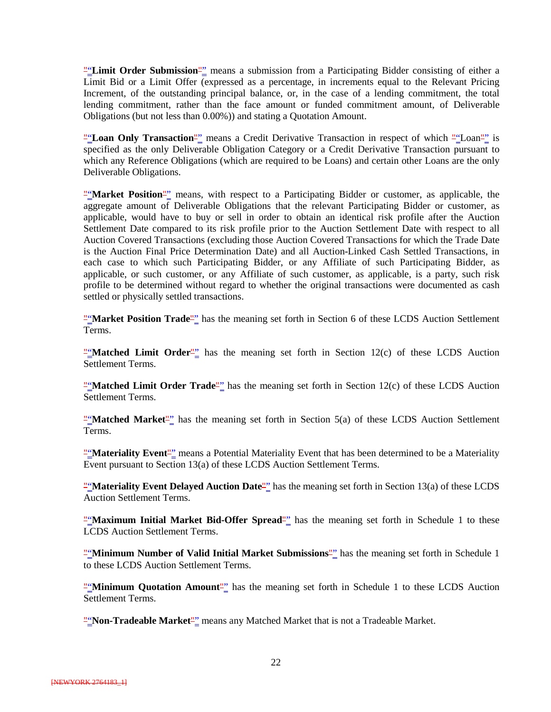""**Limit Order Submission**"" means a submission from a Participating Bidder consisting of either a Limit Bid or a Limit Offer (expressed as a percentage, in increments equal to the Relevant Pricing Increment, of the outstanding principal balance, or, in the case of a lending commitment, the total lending commitment, rather than the face amount or funded commitment amount, of Deliverable Obligations (but not less than 0.00%)) and stating a Quotation Amount.

""Loan Only Transaction<sup>""</sup> means a Credit Derivative Transaction in respect of which ""Loan"<sup>"</sup> is specified as the only Deliverable Obligation Category or a Credit Derivative Transaction pursuant to which any Reference Obligations (which are required to be Loans) and certain other Loans are the only Deliverable Obligations.

""**Market Position**"" means, with respect to a Participating Bidder or customer, as applicable, the aggregate amount of Deliverable Obligations that the relevant Participating Bidder or customer, as applicable, would have to buy or sell in order to obtain an identical risk profile after the Auction Settlement Date compared to its risk profile prior to the Auction Settlement Date with respect to all Auction Covered Transactions (excluding those Auction Covered Transactions for which the Trade Date is the Auction Final Price Determination Date) and all Auction-Linked Cash Settled Transactions, in each case to which such Participating Bidder, or any Affiliate of such Participating Bidder, as applicable, or such customer, or any Affiliate of such customer, as applicable, is a party, such risk profile to be determined without regard to whether the original transactions were documented as cash settled or physically settled transactions.

""**Market Position Trade**"" has the meaning set forth in Section 6 of these LCDS Auction Settlement Terms.

""**Matched Limit Order**"" has the meaning set forth in Section 12(c) of these LCDS Auction Settlement Terms.

""**Matched Limit Order Trade**"" has the meaning set forth in Section 12(c) of these LCDS Auction Settlement Terms.

"**Matched Market**" has the meaning set forth in Section 5(a) of these LCDS Auction Settlement Terms.

""**Materiality Event**"" means a Potential Materiality Event that has been determined to be a Materiality Event pursuant to Section 13(a) of these LCDS Auction Settlement Terms.

""**Materiality Event Delayed Auction Date**"" has the meaning set forth in Section 13(a) of these LCDS Auction Settlement Terms.

""**Maximum Initial Market Bid-Offer Spread**"" has the meaning set forth in Schedule 1 to these LCDS Auction Settlement Terms.

""**Minimum Number of Valid Initial Market Submissions**"" has the meaning set forth in Schedule 1 to these LCDS Auction Settlement Terms.

""Minimum Quotation Amount<sup>"</sup>" has the meaning set forth in Schedule 1 to these LCDS Auction Settlement Terms.

""**Non-Tradeable Market**"" means any Matched Market that is not a Tradeable Market.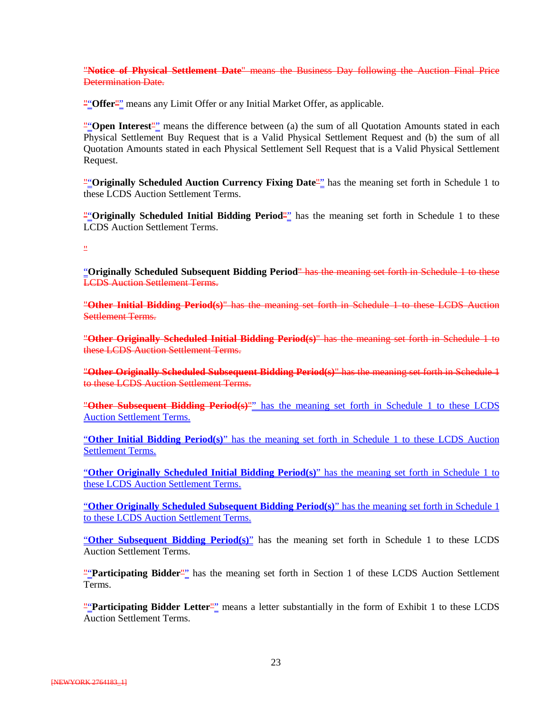"**Notice of Physical Settlement Date**" means the Business Day following the Auction Final Price Determination Date.

""Offer"" means any Limit Offer or any Initial Market Offer, as applicable.

""Open Interest<sup>""</sup> means the difference between (a) the sum of all Quotation Amounts stated in each Physical Settlement Buy Request that is a Valid Physical Settlement Request and (b) the sum of all Quotation Amounts stated in each Physical Settlement Sell Request that is a Valid Physical Settlement Request.

""**Originally Scheduled Auction Currency Fixing Date**"" has the meaning set forth in Schedule 1 to these LCDS Auction Settlement Terms.

""**Originally Scheduled Initial Bidding Period**"" has the meaning set forth in Schedule 1 to these LCDS Auction Settlement Terms.

"

"**Originally Scheduled Subsequent Bidding Period**" has the meaning set forth in Schedule 1 to these LCDS Auction Settlement Terms.

"**Other Initial Bidding Period(s)**" has the meaning set forth in Schedule 1 to these LCDS Auction Settlement Terms.

"**Other Originally Scheduled Initial Bidding Period(s)**" has the meaning set forth in Schedule 1 to these LCDS Auction Settlement Terms.

"**Other Originally Scheduled Subsequent Bidding Period(s)**" has the meaning set forth in Schedule 1 to these LCDS Auction Settlement Terms.

"**Other Subsequent Bidding Period(s)**"" has the meaning set forth in Schedule 1 to these LCDS Auction Settlement Terms.

"**Other Initial Bidding Period(s)**" has the meaning set forth in Schedule 1 to these LCDS Auction Settlement Terms.

"**Other Originally Scheduled Initial Bidding Period(s)**" has the meaning set forth in Schedule 1 to these LCDS Auction Settlement Terms.

"**Other Originally Scheduled Subsequent Bidding Period(s)**" has the meaning set forth in Schedule 1 to these LCDS Auction Settlement Terms.

"**Other Subsequent Bidding Period(s)**" has the meaning set forth in Schedule 1 to these LCDS Auction Settlement Terms.

""Participating Bidder<sup>"</sup>" has the meaning set forth in Section 1 of these LCDS Auction Settlement Terms.

""**Participating Bidder Letter**"" means a letter substantially in the form of Exhibit 1 to these LCDS Auction Settlement Terms.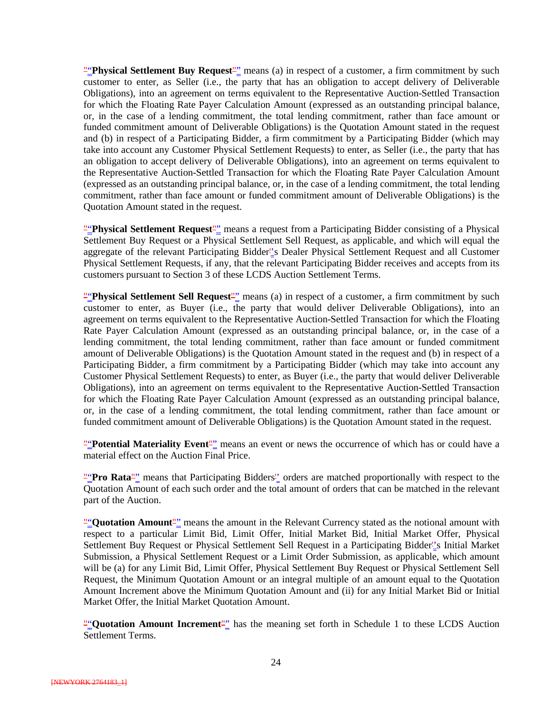""**Physical Settlement Buy Request**"" means (a) in respect of a customer, a firm commitment by such customer to enter, as Seller (i.e., the party that has an obligation to accept delivery of Deliverable Obligations), into an agreement on terms equivalent to the Representative Auction-Settled Transaction for which the Floating Rate Payer Calculation Amount (expressed as an outstanding principal balance, or, in the case of a lending commitment, the total lending commitment, rather than face amount or funded commitment amount of Deliverable Obligations) is the Quotation Amount stated in the request and (b) in respect of a Participating Bidder, a firm commitment by a Participating Bidder (which may take into account any Customer Physical Settlement Requests) to enter, as Seller (i.e., the party that has an obligation to accept delivery of Deliverable Obligations), into an agreement on terms equivalent to the Representative Auction-Settled Transaction for which the Floating Rate Payer Calculation Amount (expressed as an outstanding principal balance, or, in the case of a lending commitment, the total lending commitment, rather than face amount or funded commitment amount of Deliverable Obligations) is the Quotation Amount stated in the request.

""**Physical Settlement Request**"" means a request from a Participating Bidder consisting of a Physical Settlement Buy Request or a Physical Settlement Sell Request, as applicable, and which will equal the aggregate of the relevant Participating Bidder''s Dealer Physical Settlement Request and all Customer Physical Settlement Requests, if any, that the relevant Participating Bidder receives and accepts from its customers pursuant to Section 3 of these LCDS Auction Settlement Terms.

""Physical Settlement Sell Request<sup>""</sup> means (a) in respect of a customer, a firm commitment by such customer to enter, as Buyer (i.e., the party that would deliver Deliverable Obligations), into an agreement on terms equivalent to the Representative Auction-Settled Transaction for which the Floating Rate Payer Calculation Amount (expressed as an outstanding principal balance, or, in the case of a lending commitment, the total lending commitment, rather than face amount or funded commitment amount of Deliverable Obligations) is the Quotation Amount stated in the request and (b) in respect of a Participating Bidder, a firm commitment by a Participating Bidder (which may take into account any Customer Physical Settlement Requests) to enter, as Buyer (i.e., the party that would deliver Deliverable Obligations), into an agreement on terms equivalent to the Representative Auction-Settled Transaction for which the Floating Rate Payer Calculation Amount (expressed as an outstanding principal balance, or, in the case of a lending commitment, the total lending commitment, rather than face amount or funded commitment amount of Deliverable Obligations) is the Quotation Amount stated in the request.

"**"Potential Materiality Event**"" means an event or news the occurrence of which has or could have a material effect on the Auction Final Price.

""**Pro Rata**"" means that Participating Bidders<sup>"</sup> orders are matched proportionally with respect to the Quotation Amount of each such order and the total amount of orders that can be matched in the relevant part of the Auction.

""Quotation Amount"" means the amount in the Relevant Currency stated as the notional amount with respect to a particular Limit Bid, Limit Offer, Initial Market Bid, Initial Market Offer, Physical Settlement Buy Request or Physical Settlement Sell Request in a Participating Bidder''s Initial Market Submission, a Physical Settlement Request or a Limit Order Submission, as applicable, which amount will be (a) for any Limit Bid, Limit Offer, Physical Settlement Buy Request or Physical Settlement Sell Request, the Minimum Quotation Amount or an integral multiple of an amount equal to the Quotation Amount Increment above the Minimum Quotation Amount and (ii) for any Initial Market Bid or Initial Market Offer, the Initial Market Quotation Amount.

""Quotation Amount Increment<sup>""</sup> has the meaning set forth in Schedule 1 to these LCDS Auction Settlement Terms.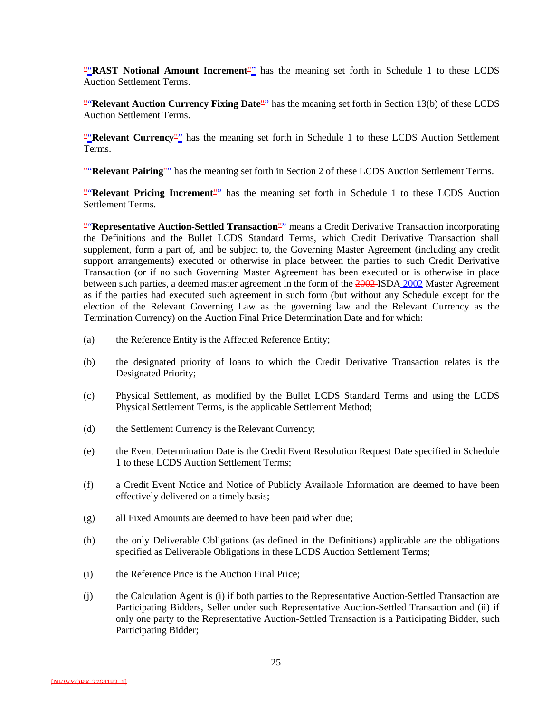""**RAST Notional Amount Increment**"" has the meaning set forth in Schedule 1 to these LCDS Auction Settlement Terms.

""**Relevant Auction Currency Fixing Date**"" has the meaning set forth in Section 13(b) of these LCDS Auction Settlement Terms.

""**Relevant Currency**"" has the meaning set forth in Schedule 1 to these LCDS Auction Settlement Terms.

""**Relevant Pairing**"" has the meaning set forth in Section 2 of these LCDS Auction Settlement Terms.

" **Relevant Pricing Increment**" has the meaning set forth in Schedule 1 to these LCDS Auction Settlement Terms.

""**Representative Auction-Settled Transaction**"" means a Credit Derivative Transaction incorporating the Definitions and the Bullet LCDS Standard Terms, which Credit Derivative Transaction shall supplement, form a part of, and be subject to, the Governing Master Agreement (including any credit support arrangements) executed or otherwise in place between the parties to such Credit Derivative Transaction (or if no such Governing Master Agreement has been executed or is otherwise in place between such parties, a deemed master agreement in the form of the 2002 ISDA 2002 Master Agreement as if the parties had executed such agreement in such form (but without any Schedule except for the election of the Relevant Governing Law as the governing law and the Relevant Currency as the Termination Currency) on the Auction Final Price Determination Date and for which:

- (a) the Reference Entity is the Affected Reference Entity;
- (b) the designated priority of loans to which the Credit Derivative Transaction relates is the Designated Priority;
- (c) Physical Settlement, as modified by the Bullet LCDS Standard Terms and using the LCDS Physical Settlement Terms, is the applicable Settlement Method;
- (d) the Settlement Currency is the Relevant Currency;
- (e) the Event Determination Date is the Credit Event Resolution Request Date specified in Schedule 1 to these LCDS Auction Settlement Terms;
- (f) a Credit Event Notice and Notice of Publicly Available Information are deemed to have been effectively delivered on a timely basis;
- (g) all Fixed Amounts are deemed to have been paid when due;
- (h) the only Deliverable Obligations (as defined in the Definitions) applicable are the obligations specified as Deliverable Obligations in these LCDS Auction Settlement Terms;
- (i) the Reference Price is the Auction Final Price;
- (j) the Calculation Agent is (i) if both parties to the Representative Auction-Settled Transaction are Participating Bidders, Seller under such Representative Auction-Settled Transaction and (ii) if only one party to the Representative Auction-Settled Transaction is a Participating Bidder, such Participating Bidder;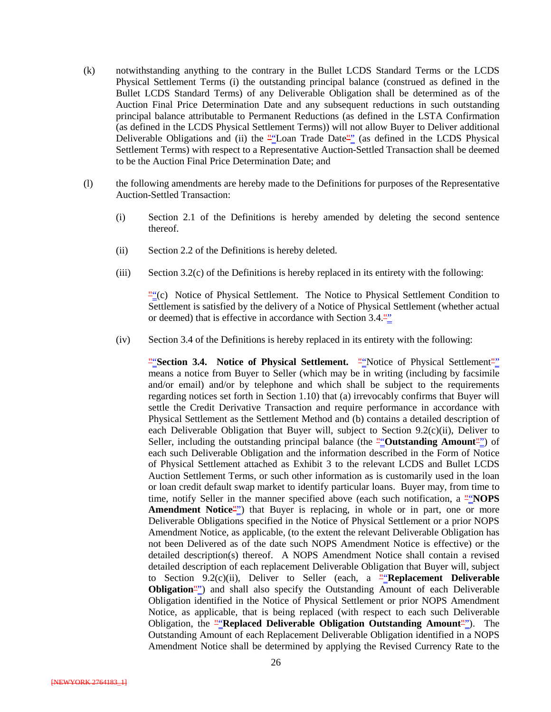- (k) notwithstanding anything to the contrary in the Bullet LCDS Standard Terms or the LCDS Physical Settlement Terms (i) the outstanding principal balance (construed as defined in the Bullet LCDS Standard Terms) of any Deliverable Obligation shall be determined as of the Auction Final Price Determination Date and any subsequent reductions in such outstanding principal balance attributable to Permanent Reductions (as defined in the LSTA Confirmation (as defined in the LCDS Physical Settlement Terms)) will not allow Buyer to Deliver additional Deliverable Obligations and (ii) the ""Loan Trade Date"" (as defined in the LCDS Physical Settlement Terms) with respect to a Representative Auction-Settled Transaction shall be deemed to be the Auction Final Price Determination Date; and
- (l) the following amendments are hereby made to the Definitions for purposes of the Representative Auction-Settled Transaction:
	- (i) Section 2.1 of the Definitions is hereby amended by deleting the second sentence thereof.
	- (ii) Section 2.2 of the Definitions is hereby deleted.
	- (iii) Section 3.2(c) of the Definitions is hereby replaced in its entirety with the following:

 $\frac{m}{n}$  (c) Notice of Physical Settlement. The Notice to Physical Settlement Condition to Settlement is satisfied by the delivery of a Notice of Physical Settlement (whether actual or deemed) that is effective in accordance with Section 3.4.<sup>""</sup>

(iv) Section 3.4 of the Definitions is hereby replaced in its entirety with the following:

""**Section 3.4. Notice of Physical Settlement.** ""Notice of Physical Settlement"" means a notice from Buyer to Seller (which may be in writing (including by facsimile and/or email) and/or by telephone and which shall be subject to the requirements regarding notices set forth in Section 1.10) that (a) irrevocably confirms that Buyer will settle the Credit Derivative Transaction and require performance in accordance with Physical Settlement as the Settlement Method and (b) contains a detailed description of each Deliverable Obligation that Buyer will, subject to Section 9.2(c)(ii), Deliver to Seller, including the outstanding principal balance (the ""**Outstanding Amount**"") of each such Deliverable Obligation and the information described in the Form of Notice of Physical Settlement attached as Exhibit 3 to the relevant LCDS and Bullet LCDS Auction Settlement Terms, or such other information as is customarily used in the loan or loan credit default swap market to identify particular loans. Buyer may, from time to time, notify Seller in the manner specified above (each such notification, a "*NOPS* **Amendment Notice**<sup>""</sup>) that Buyer is replacing, in whole or in part, one or more Deliverable Obligations specified in the Notice of Physical Settlement or a prior NOPS Amendment Notice, as applicable, (to the extent the relevant Deliverable Obligation has not been Delivered as of the date such NOPS Amendment Notice is effective) or the detailed description(s) thereof. A NOPS Amendment Notice shall contain a revised detailed description of each replacement Deliverable Obligation that Buyer will, subject to Section 9.2(c)(ii), Deliver to Seller (each, a  $\frac{w}{n}$ **Replacement Deliverable Obligation**<sup>""</sup>) and shall also specify the Outstanding Amount of each Deliverable Obligation identified in the Notice of Physical Settlement or prior NOPS Amendment Notice, as applicable, that is being replaced (with respect to each such Deliverable Obligation, the ""**Replaced Deliverable Obligation Outstanding Amount**""). The Outstanding Amount of each Replacement Deliverable Obligation identified in a NOPS Amendment Notice shall be determined by applying the Revised Currency Rate to the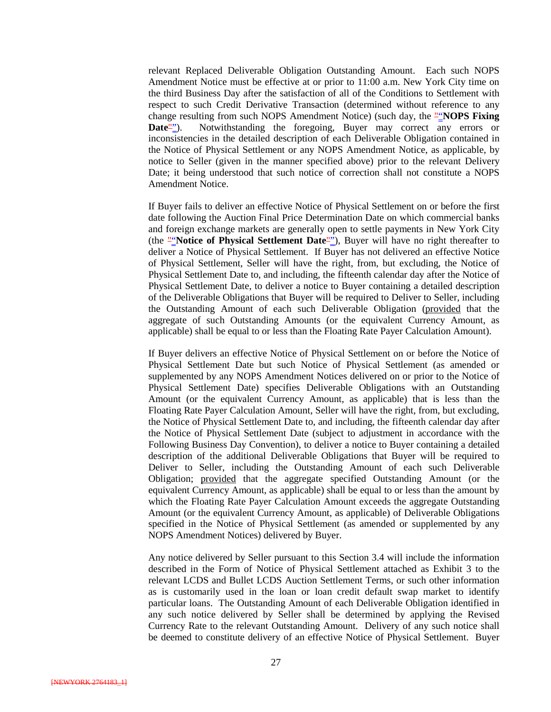relevant Replaced Deliverable Obligation Outstanding Amount. Each such NOPS Amendment Notice must be effective at or prior to 11:00 a.m. New York City time on the third Business Day after the satisfaction of all of the Conditions to Settlement with respect to such Credit Derivative Transaction (determined without reference to any change resulting from such NOPS Amendment Notice) (such day, the ""**NOPS Fixing Date**""). Notwithstanding the foregoing, Buyer may correct any errors or inconsistencies in the detailed description of each Deliverable Obligation contained in the Notice of Physical Settlement or any NOPS Amendment Notice, as applicable, by notice to Seller (given in the manner specified above) prior to the relevant Delivery Date; it being understood that such notice of correction shall not constitute a NOPS Amendment Notice.

If Buyer fails to deliver an effective Notice of Physical Settlement on or before the first date following the Auction Final Price Determination Date on which commercial banks and foreign exchange markets are generally open to settle payments in New York City (the "**Notice of Physical Settlement Date**"), Buyer will have no right thereafter to deliver a Notice of Physical Settlement. If Buyer has not delivered an effective Notice of Physical Settlement, Seller will have the right, from, but excluding, the Notice of Physical Settlement Date to, and including, the fifteenth calendar day after the Notice of Physical Settlement Date, to deliver a notice to Buyer containing a detailed description of the Deliverable Obligations that Buyer will be required to Deliver to Seller, including the Outstanding Amount of each such Deliverable Obligation (provided that the aggregate of such Outstanding Amounts (or the equivalent Currency Amount, as applicable) shall be equal to or less than the Floating Rate Payer Calculation Amount).

If Buyer delivers an effective Notice of Physical Settlement on or before the Notice of Physical Settlement Date but such Notice of Physical Settlement (as amended or supplemented by any NOPS Amendment Notices delivered on or prior to the Notice of Physical Settlement Date) specifies Deliverable Obligations with an Outstanding Amount (or the equivalent Currency Amount, as applicable) that is less than the Floating Rate Payer Calculation Amount, Seller will have the right, from, but excluding, the Notice of Physical Settlement Date to, and including, the fifteenth calendar day after the Notice of Physical Settlement Date (subject to adjustment in accordance with the Following Business Day Convention), to deliver a notice to Buyer containing a detailed description of the additional Deliverable Obligations that Buyer will be required to Deliver to Seller, including the Outstanding Amount of each such Deliverable Obligation; provided that the aggregate specified Outstanding Amount (or the equivalent Currency Amount, as applicable) shall be equal to or less than the amount by which the Floating Rate Payer Calculation Amount exceeds the aggregate Outstanding Amount (or the equivalent Currency Amount, as applicable) of Deliverable Obligations specified in the Notice of Physical Settlement (as amended or supplemented by any NOPS Amendment Notices) delivered by Buyer.

Any notice delivered by Seller pursuant to this Section 3.4 will include the information described in the Form of Notice of Physical Settlement attached as Exhibit 3 to the relevant LCDS and Bullet LCDS Auction Settlement Terms, or such other information as is customarily used in the loan or loan credit default swap market to identify particular loans. The Outstanding Amount of each Deliverable Obligation identified in any such notice delivered by Seller shall be determined by applying the Revised Currency Rate to the relevant Outstanding Amount. Delivery of any such notice shall be deemed to constitute delivery of an effective Notice of Physical Settlement. Buyer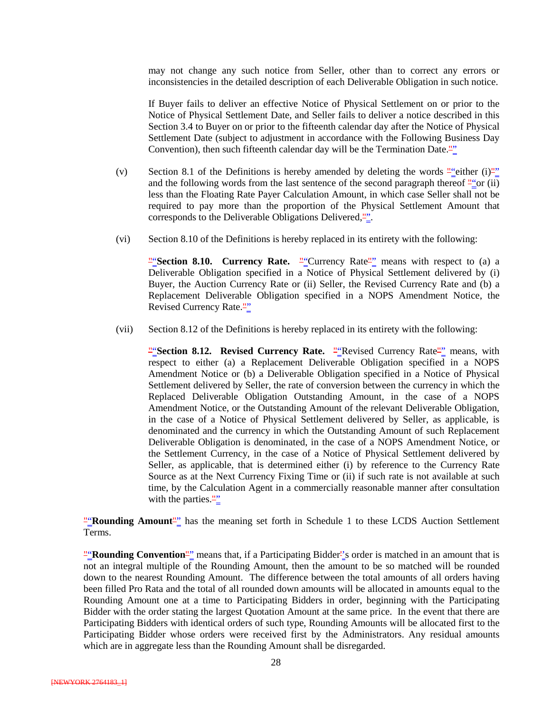may not change any such notice from Seller, other than to correct any errors or inconsistencies in the detailed description of each Deliverable Obligation in such notice.

If Buyer fails to deliver an effective Notice of Physical Settlement on or prior to the Notice of Physical Settlement Date, and Seller fails to deliver a notice described in this Section 3.4 to Buyer on or prior to the fifteenth calendar day after the Notice of Physical Settlement Date (subject to adjustment in accordance with the Following Business Day Convention), then such fifteenth calendar day will be the Termination Date.""

- (v) Section 8.1 of the Definitions is hereby amended by deleting the words  $\frac{n}{2}$  either (i)<sup>n</sup> and the following words from the last sentence of the second paragraph thereof  $\frac{n}{n}$  or (ii) less than the Floating Rate Payer Calculation Amount, in which case Seller shall not be required to pay more than the proportion of the Physical Settlement Amount that corresponds to the Deliverable Obligations Delivered,"".
- (vi) Section 8.10 of the Definitions is hereby replaced in its entirety with the following:

"Section 8.10. Currency Rate. "<sup>"</sup>Currency Rate"<sup>"</sup> means with respect to (a) a Deliverable Obligation specified in a Notice of Physical Settlement delivered by (i) Buyer, the Auction Currency Rate or (ii) Seller, the Revised Currency Rate and (b) a Replacement Deliverable Obligation specified in a NOPS Amendment Notice, the Revised Currency Rate.""

(vii) Section 8.12 of the Definitions is hereby replaced in its entirety with the following:

"Section 8.12. Revised Currency Rate. "Tevised Currency Rate" means, with respect to either (a) a Replacement Deliverable Obligation specified in a NOPS Amendment Notice or (b) a Deliverable Obligation specified in a Notice of Physical Settlement delivered by Seller, the rate of conversion between the currency in which the Replaced Deliverable Obligation Outstanding Amount, in the case of a NOPS Amendment Notice, or the Outstanding Amount of the relevant Deliverable Obligation, in the case of a Notice of Physical Settlement delivered by Seller, as applicable, is denominated and the currency in which the Outstanding Amount of such Replacement Deliverable Obligation is denominated, in the case of a NOPS Amendment Notice, or the Settlement Currency, in the case of a Notice of Physical Settlement delivered by Seller, as applicable, that is determined either (i) by reference to the Currency Rate Source as at the Next Currency Fixing Time or (ii) if such rate is not available at such time, by the Calculation Agent in a commercially reasonable manner after consultation with the parties. $\frac{10\%}{10\%}$ 

""**Rounding Amount**" has the meaning set forth in Schedule 1 to these LCDS Auction Settlement Terms.

""**Rounding Convention**"" means that, if a Participating Bidder<sup>"</sup>'s order is matched in an amount that is not an integral multiple of the Rounding Amount, then the amount to be so matched will be rounded down to the nearest Rounding Amount. The difference between the total amounts of all orders having been filled Pro Rata and the total of all rounded down amounts will be allocated in amounts equal to the Rounding Amount one at a time to Participating Bidders in order, beginning with the Participating Bidder with the order stating the largest Quotation Amount at the same price. In the event that there are Participating Bidders with identical orders of such type, Rounding Amounts will be allocated first to the Participating Bidder whose orders were received first by the Administrators. Any residual amounts which are in aggregate less than the Rounding Amount shall be disregarded.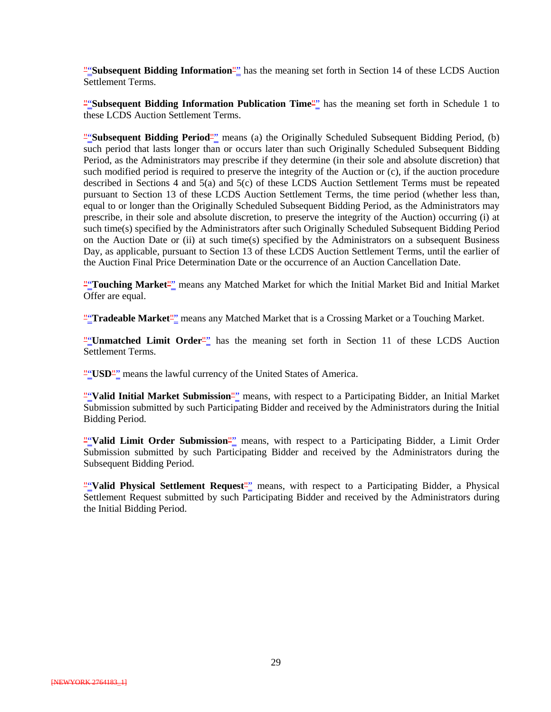""**Subsequent Bidding Information**"" has the meaning set forth in Section 14 of these LCDS Auction Settlement Terms.

**"**Subsequent Bidding Information Publication Time"<sup>2</sup> has the meaning set forth in Schedule 1 to these LCDS Auction Settlement Terms.

**"Subsequent Bidding Period"** means (a) the Originally Scheduled Subsequent Bidding Period, (b) such period that lasts longer than or occurs later than such Originally Scheduled Subsequent Bidding Period, as the Administrators may prescribe if they determine (in their sole and absolute discretion) that such modified period is required to preserve the integrity of the Auction or (c), if the auction procedure described in Sections 4 and 5(a) and 5(c) of these LCDS Auction Settlement Terms must be repeated pursuant to Section 13 of these LCDS Auction Settlement Terms, the time period (whether less than, equal to or longer than the Originally Scheduled Subsequent Bidding Period, as the Administrators may prescribe, in their sole and absolute discretion, to preserve the integrity of the Auction) occurring (i) at such time(s) specified by the Administrators after such Originally Scheduled Subsequent Bidding Period on the Auction Date or (ii) at such time(s) specified by the Administrators on a subsequent Business Day, as applicable, pursuant to Section 13 of these LCDS Auction Settlement Terms, until the earlier of the Auction Final Price Determination Date or the occurrence of an Auction Cancellation Date.

""**Touching Market**"" means any Matched Market for which the Initial Market Bid and Initial Market Offer are equal.

""**Tradeable Market**"" means any Matched Market that is a Crossing Market or a Touching Market.

"
" **Unmatched Limit Order**" has the meaning set forth in Section 11 of these LCDS Auction Settlement Terms.

""**USD"**" means the lawful currency of the United States of America.

""Valid Initial Market Submission<sup>""</sup> means, with respect to a Participating Bidder, an Initial Market Submission submitted by such Participating Bidder and received by the Administrators during the Initial Bidding Period.

""Valid Limit Order Submission<sup>""</sup> means, with respect to a Participating Bidder, a Limit Order Submission submitted by such Participating Bidder and received by the Administrators during the Subsequent Bidding Period.

""**Valid Physical Settlement Request**"" means, with respect to a Participating Bidder, a Physical Settlement Request submitted by such Participating Bidder and received by the Administrators during the Initial Bidding Period.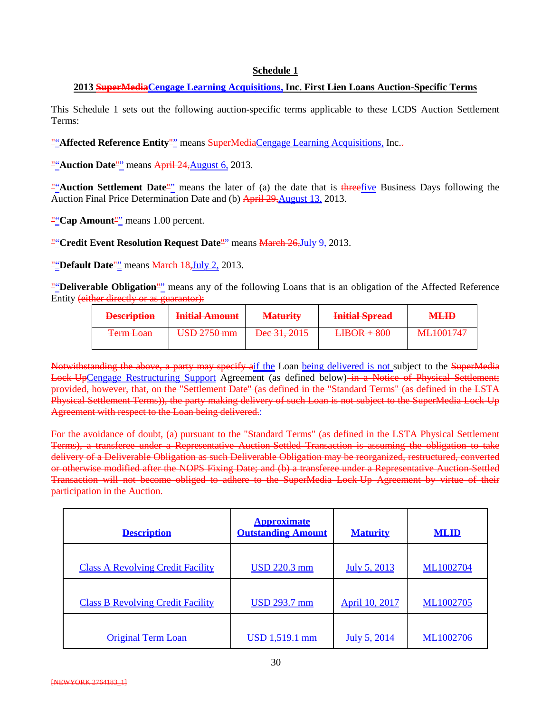#### **Schedule 1**

#### **2013 SuperMediaCengage Learning Acquisitions, Inc. First Lien Loans Auction-Specific Terms**

This Schedule 1 sets out the following auction-specific terms applicable to these LCDS Auction Settlement Terms:

""Affected Reference Entity"" means SuperMediaCengage Learning Acquisitions, Inc.-

**""Auction Date"** means April 24, August 6, 2013.

""**Auction Settlement Date**"" means the later of (a) the date that is threefive Business Days following the Auction Final Price Determination Date and (b) April 29, August 13, 2013.

""Cap Amount<sup>""</sup> means 1.00 percent.

"Credit Event Resolution Request Date<sup>"</sup> means March 26, July 9, 2013.

"**Default Date**"<sup>"</sup> means **March 18, July 2, 2013.** 

""**Deliverable Obligation**"" means any of the following Loans that is an obligation of the Affected Reference Entity (either directly or as guarantor):

| <b>Description</b><br><del>Description</del> | Initial Amount<br><b>THURSDES</b> WILDFUL                              | <b>Maturity</b>                | Initial Sprood<br><del>muu opraa</del> | <b>MLID</b>       |
|----------------------------------------------|------------------------------------------------------------------------|--------------------------------|----------------------------------------|-------------------|
| $Term$ Loan                                  | $I$ $R$ $\Omega$ $\gamma$ $\gamma$ $\gamma$ $\gamma$ $\gamma$ $\gamma$ | $\Gamma$ <sub>00</sub> 21 2015 | $I$ IROD $\pm$ 800                     | <b>MI 1001747</b> |
| <del>Tumboan</del>                           | <del>ood 2130 mm</del>                                                 | <del>DUC 31, 2013</del>        | <del>LIDUR TOOO</del>                  | <del></del>       |

Notwithstanding the above, a party may specify aif the Loan being delivered is not subject to the SuperMedia Lock-UpCengage Restructuring Support Agreement (as defined below) in a Notice of Physical Settlement; provided, however, that, on the "Settlement Date" (as defined in the "Standard Terms" (as defined in the LSTA Physical Settlement Terms)), the party making delivery of such Loan is not subject to the SuperMedia Lock-Up Agreement with respect to the Loan being delivered.

For the avoidance of doubt, (a) pursuant to the "Standard Terms" (as defined in the LSTA Physical Settlement Terms), a transferee under a Representative Auction-Settled Transaction is assuming the obligation to take delivery of a Deliverable Obligation as such Deliverable Obligation may be reorganized, restructured, converted or otherwise modified after the NOPS Fixing Date; and (b) a transferee under a Representative Auction-Settled Transaction will not become obliged to adhere to the SuperMedia Lock-Up Agreement by virtue of their participation in the Auction.

| <b>Description</b>                       | <b>Approximate</b><br><b>Outstanding Amount</b> | <b>Maturity</b>       | <b>MLID</b>      |
|------------------------------------------|-------------------------------------------------|-----------------------|------------------|
| <b>Class A Revolving Credit Facility</b> | <u>USD 220.3 mm</u>                             | <u>July 5, 2013</u>   | <b>ML1002704</b> |
| <b>Class B Revolving Credit Facility</b> | <u>USD 293.7 mm</u>                             | <b>April 10, 2017</b> | <b>ML1002705</b> |
| <b>Original Term Loan</b>                | <u>USD 1,519.1 mm</u>                           | <u>July 5, 2014</u>   | ML1002706        |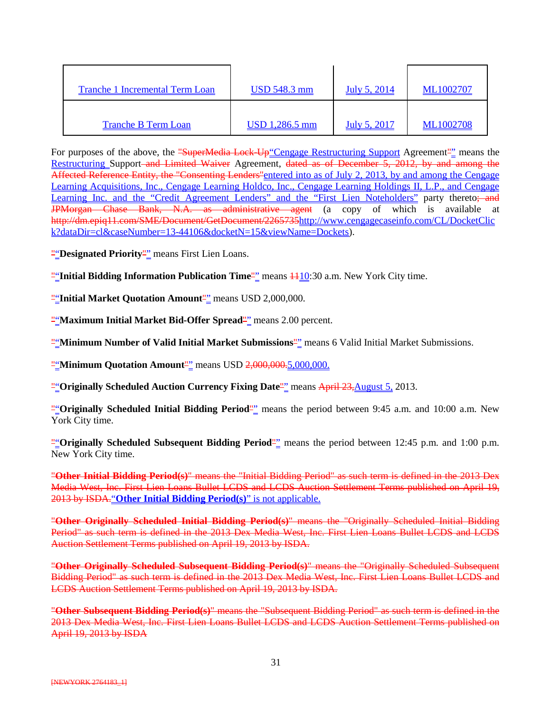| Tranche 1 Incremental Term Loan | <b>USD 548.3 mm</b>   | July 5, 2014        | ML1002707        |
|---------------------------------|-----------------------|---------------------|------------------|
| <b>Tranche B Term Loan</b>      | <u>USD 1,286.5 mm</u> | <u>July 5, 2017</u> | <b>ML1002708</b> |

For purposes of the above, the <del>"SuperMedia Lock-Up"Cengage Restructuring Support</del> Agreement"" means the Restructuring Support and Limited Waiver Agreement, dated as of December 5, 2012, by and among the Affected Reference Entity, the "Consenting Lenders" entered into as of July 2, 2013, by and among the Cengage Learning Acquisitions, Inc., Cengage Learning Holdco, Inc., Cengage Learning Holdings II, L.P., and Cengage Learning Inc. and the "Credit Agreement Lenders" and the "First Lien Noteholders" party thereto; and JPMorgan Chase Bank, N.A. as administrative agent (a copy of which is available at http://dm.epiq11.com/SME/Document/GetDocument/226573[5http://www.cengagecaseinfo.com/CL/DocketClic](http://www.cengagecaseinfo.com/CL/DocketClick?dataDir=cl&caseNumber=13-44106&docketN=15&viewName=Dockets) [k?dataDir=cl&caseNumber=13-44106&docketN=15&viewName=Dockets\)](http://www.cengagecaseinfo.com/CL/DocketClick?dataDir=cl&caseNumber=13-44106&docketN=15&viewName=Dockets).

"**Designated Priority**" means First Lien Loans.

**""Initial Bidding Information Publication Time"** means  $\frac{1110:30}{10:100}$  a.m. New York City time.

""**Initial Market Quotation Amount**"" means USD 2,000,000.

""**Maximum Initial Market Bid-Offer Spread**"" means 2.00 percent.

""**Minimum Number of Valid Initial Market Submissions**"" means 6 Valid Initial Market Submissions.

**"**"Minimum Quotation Amount"" means USD 2,000,000.5,000,000.

""**Originally Scheduled Auction Currency Fixing Date**"" means April 23,August 5, 2013.

""**Originally Scheduled Initial Bidding Period**"" means the period between 9:45 a.m. and 10:00 a.m. New York City time.

""Originally Scheduled Subsequent Bidding Period<sup>""</sup> means the period between 12:45 p.m. and 1:00 p.m. New York City time.

"**Other Initial Bidding Period(s)**" means the "Initial Bidding Period" as such term is defined in the 2013 Dex Media West, Inc. First Lien Loans Bullet LCDS and LCDS Auction Settlement Terms published on April 19, 2013 by ISDA."**Other Initial Bidding Period(s)**" is not applicable.

"**Other Originally Scheduled Initial Bidding Period(s)**" means the "Originally Scheduled Initial Bidding Period" as such term is defined in the 2013 Dex Media West, Inc. First Lien Loans Bullet LCDS and LCDS Auction Settlement Terms published on April 19, 2013 by ISDA.

"**Other Originally Scheduled Subsequent Bidding Period(s)**" means the "Originally Scheduled Subsequent Bidding Period" as such term is defined in the 2013 Dex Media West, Inc. First Lien Loans Bullet LCDS and LCDS Auction Settlement Terms published on April 19, 2013 by ISDA.

"**Other Subsequent Bidding Period(s)**" means the "Subsequent Bidding Period" as such term is defined in the 2013 Dex Media West, Inc. First Lien Loans Bullet LCDS and LCDS Auction Settlement Terms published on April 19, 2013 by ISDA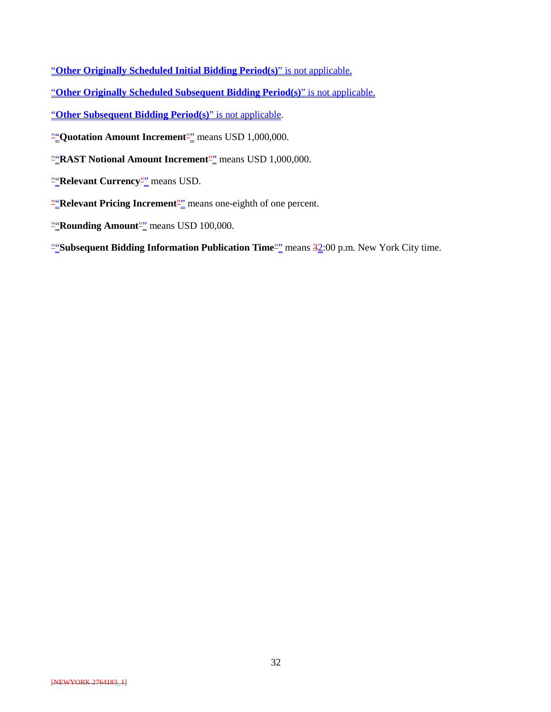- "**Other Originally Scheduled Initial Bidding Period(s)**" is not applicable.
- "**Other Originally Scheduled Subsequent Bidding Period(s)**" is not applicable.
- "**Other Subsequent Bidding Period(s)**" is not applicable.
- **"Quotation Amount Increment**"<sup>"</sup> means USD 1,000,000.
- ""**RAST Notional Amount Increment**"" means USD 1,000,000.
- **"***Relevant Currency*<sup>"</sup><sup>"</sup> means USD.
- **"Relevant Pricing Increment**" means one-eighth of one percent.
- **"Rounding Amount"** means USD 100,000.
- **"**Subsequent Bidding Information Publication Time"<sup>"</sup> means 32:00 p.m. New York City time.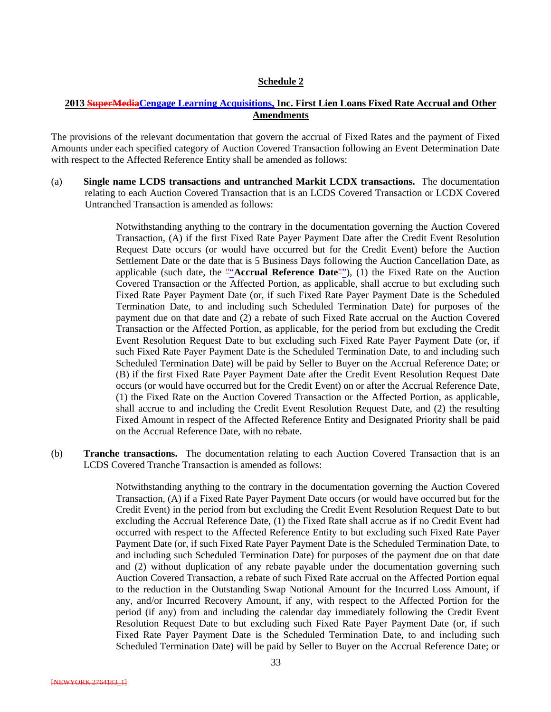#### **Schedule 2**

#### **2013 SuperMediaCengage Learning Acquisitions, Inc. First Lien Loans Fixed Rate Accrual and Other Amendments**

The provisions of the relevant documentation that govern the accrual of Fixed Rates and the payment of Fixed Amounts under each specified category of Auction Covered Transaction following an Event Determination Date with respect to the Affected Reference Entity shall be amended as follows:

(a) **Single name LCDS transactions and untranched Markit LCDX transactions.** The documentation relating to each Auction Covered Transaction that is an LCDS Covered Transaction or LCDX Covered Untranched Transaction is amended as follows:

> Notwithstanding anything to the contrary in the documentation governing the Auction Covered Transaction, (A) if the first Fixed Rate Payer Payment Date after the Credit Event Resolution Request Date occurs (or would have occurred but for the Credit Event) before the Auction Settlement Date or the date that is 5 Business Days following the Auction Cancellation Date, as applicable (such date, the ""**Accrual Reference Date**""), (1) the Fixed Rate on the Auction Covered Transaction or the Affected Portion, as applicable, shall accrue to but excluding such Fixed Rate Payer Payment Date (or, if such Fixed Rate Payer Payment Date is the Scheduled Termination Date, to and including such Scheduled Termination Date) for purposes of the payment due on that date and (2) a rebate of such Fixed Rate accrual on the Auction Covered Transaction or the Affected Portion, as applicable, for the period from but excluding the Credit Event Resolution Request Date to but excluding such Fixed Rate Payer Payment Date (or, if such Fixed Rate Payer Payment Date is the Scheduled Termination Date, to and including such Scheduled Termination Date) will be paid by Seller to Buyer on the Accrual Reference Date; or (B) if the first Fixed Rate Payer Payment Date after the Credit Event Resolution Request Date occurs (or would have occurred but for the Credit Event) on or after the Accrual Reference Date, (1) the Fixed Rate on the Auction Covered Transaction or the Affected Portion, as applicable, shall accrue to and including the Credit Event Resolution Request Date, and (2) the resulting Fixed Amount in respect of the Affected Reference Entity and Designated Priority shall be paid on the Accrual Reference Date, with no rebate.

(b) **Tranche transactions.** The documentation relating to each Auction Covered Transaction that is an LCDS Covered Tranche Transaction is amended as follows:

> Notwithstanding anything to the contrary in the documentation governing the Auction Covered Transaction, (A) if a Fixed Rate Payer Payment Date occurs (or would have occurred but for the Credit Event) in the period from but excluding the Credit Event Resolution Request Date to but excluding the Accrual Reference Date, (1) the Fixed Rate shall accrue as if no Credit Event had occurred with respect to the Affected Reference Entity to but excluding such Fixed Rate Payer Payment Date (or, if such Fixed Rate Payer Payment Date is the Scheduled Termination Date, to and including such Scheduled Termination Date) for purposes of the payment due on that date and (2) without duplication of any rebate payable under the documentation governing such Auction Covered Transaction, a rebate of such Fixed Rate accrual on the Affected Portion equal to the reduction in the Outstanding Swap Notional Amount for the Incurred Loss Amount, if any, and/or Incurred Recovery Amount, if any, with respect to the Affected Portion for the period (if any) from and including the calendar day immediately following the Credit Event Resolution Request Date to but excluding such Fixed Rate Payer Payment Date (or, if such Fixed Rate Payer Payment Date is the Scheduled Termination Date, to and including such Scheduled Termination Date) will be paid by Seller to Buyer on the Accrual Reference Date; or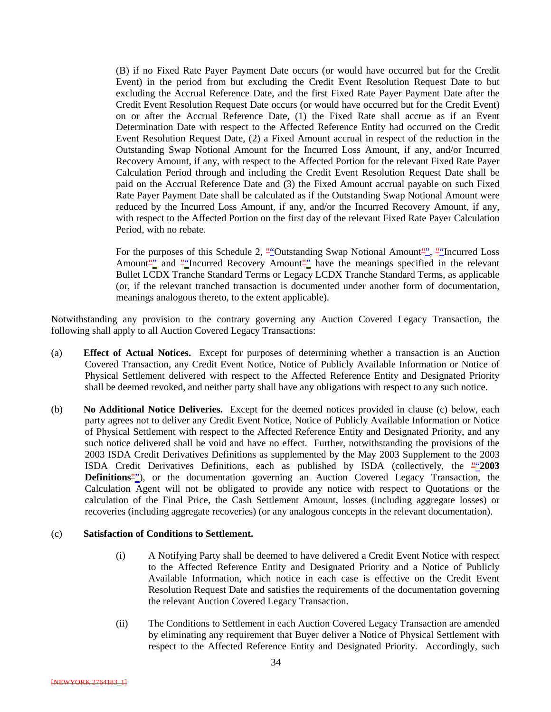(B) if no Fixed Rate Payer Payment Date occurs (or would have occurred but for the Credit Event) in the period from but excluding the Credit Event Resolution Request Date to but excluding the Accrual Reference Date, and the first Fixed Rate Payer Payment Date after the Credit Event Resolution Request Date occurs (or would have occurred but for the Credit Event) on or after the Accrual Reference Date, (1) the Fixed Rate shall accrue as if an Event Determination Date with respect to the Affected Reference Entity had occurred on the Credit Event Resolution Request Date, (2) a Fixed Amount accrual in respect of the reduction in the Outstanding Swap Notional Amount for the Incurred Loss Amount, if any, and/or Incurred Recovery Amount, if any, with respect to the Affected Portion for the relevant Fixed Rate Payer Calculation Period through and including the Credit Event Resolution Request Date shall be paid on the Accrual Reference Date and (3) the Fixed Amount accrual payable on such Fixed Rate Payer Payment Date shall be calculated as if the Outstanding Swap Notional Amount were reduced by the Incurred Loss Amount, if any, and/or the Incurred Recovery Amount, if any, with respect to the Affected Portion on the first day of the relevant Fixed Rate Payer Calculation Period, with no rebate.

For the purposes of this Schedule 2,  $\frac{\text{u}}{2}$  Outstanding Swap Notional Amount  $\frac{\text{u}}{2}$ ,  $\frac{\text{u}}{2}$  Incurred Loss Amount<sup>"</sup> and ""Incurred Recovery Amount"<sup>"</sup> have the meanings specified in the relevant Bullet LCDX Tranche Standard Terms or Legacy LCDX Tranche Standard Terms, as applicable (or, if the relevant tranched transaction is documented under another form of documentation, meanings analogous thereto, to the extent applicable).

Notwithstanding any provision to the contrary governing any Auction Covered Legacy Transaction, the following shall apply to all Auction Covered Legacy Transactions:

- (a) **Effect of Actual Notices.** Except for purposes of determining whether a transaction is an Auction Covered Transaction, any Credit Event Notice, Notice of Publicly Available Information or Notice of Physical Settlement delivered with respect to the Affected Reference Entity and Designated Priority shall be deemed revoked, and neither party shall have any obligations with respect to any such notice.
- (b) **No Additional Notice Deliveries.** Except for the deemed notices provided in clause (c) below, each party agrees not to deliver any Credit Event Notice, Notice of Publicly Available Information or Notice of Physical Settlement with respect to the Affected Reference Entity and Designated Priority, and any such notice delivered shall be void and have no effect. Further, notwithstanding the provisions of the 2003 ISDA Credit Derivatives Definitions as supplemented by the May 2003 Supplement to the 2003 ISDA Credit Derivatives Definitions, each as published by ISDA (collectively, the ""**2003 Definitions**"), or the documentation governing an Auction Covered Legacy Transaction, the Calculation Agent will not be obligated to provide any notice with respect to Quotations or the calculation of the Final Price, the Cash Settlement Amount, losses (including aggregate losses) or recoveries (including aggregate recoveries) (or any analogous concepts in the relevant documentation).

#### (c) **Satisfaction of Conditions to Settlement.**

- (i) A Notifying Party shall be deemed to have delivered a Credit Event Notice with respect to the Affected Reference Entity and Designated Priority and a Notice of Publicly Available Information, which notice in each case is effective on the Credit Event Resolution Request Date and satisfies the requirements of the documentation governing the relevant Auction Covered Legacy Transaction.
- (ii) The Conditions to Settlement in each Auction Covered Legacy Transaction are amended by eliminating any requirement that Buyer deliver a Notice of Physical Settlement with respect to the Affected Reference Entity and Designated Priority. Accordingly, such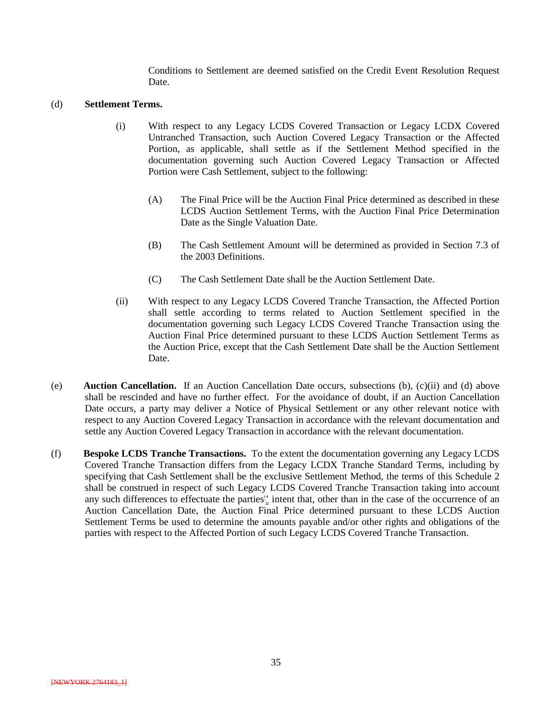Conditions to Settlement are deemed satisfied on the Credit Event Resolution Request Date.

#### (d) **Settlement Terms.**

- (i) With respect to any Legacy LCDS Covered Transaction or Legacy LCDX Covered Untranched Transaction, such Auction Covered Legacy Transaction or the Affected Portion, as applicable, shall settle as if the Settlement Method specified in the documentation governing such Auction Covered Legacy Transaction or Affected Portion were Cash Settlement, subject to the following:
	- (A) The Final Price will be the Auction Final Price determined as described in these LCDS Auction Settlement Terms, with the Auction Final Price Determination Date as the Single Valuation Date.
	- (B) The Cash Settlement Amount will be determined as provided in Section 7.3 of the 2003 Definitions.
	- (C) The Cash Settlement Date shall be the Auction Settlement Date.
- (ii) With respect to any Legacy LCDS Covered Tranche Transaction, the Affected Portion shall settle according to terms related to Auction Settlement specified in the documentation governing such Legacy LCDS Covered Tranche Transaction using the Auction Final Price determined pursuant to these LCDS Auction Settlement Terms as the Auction Price, except that the Cash Settlement Date shall be the Auction Settlement Date.
- (e) **Auction Cancellation.** If an Auction Cancellation Date occurs, subsections (b), (c)(ii) and (d) above shall be rescinded and have no further effect. For the avoidance of doubt, if an Auction Cancellation Date occurs, a party may deliver a Notice of Physical Settlement or any other relevant notice with respect to any Auction Covered Legacy Transaction in accordance with the relevant documentation and settle any Auction Covered Legacy Transaction in accordance with the relevant documentation.
- (f) **Bespoke LCDS Tranche Transactions.** To the extent the documentation governing any Legacy LCDS Covered Tranche Transaction differs from the Legacy LCDX Tranche Standard Terms, including by specifying that Cash Settlement shall be the exclusive Settlement Method, the terms of this Schedule 2 shall be construed in respect of such Legacy LCDS Covered Tranche Transaction taking into account any such differences to effectuate the parties<sup>1</sup> intent that, other than in the case of the occurrence of an Auction Cancellation Date, the Auction Final Price determined pursuant to these LCDS Auction Settlement Terms be used to determine the amounts payable and/or other rights and obligations of the parties with respect to the Affected Portion of such Legacy LCDS Covered Tranche Transaction.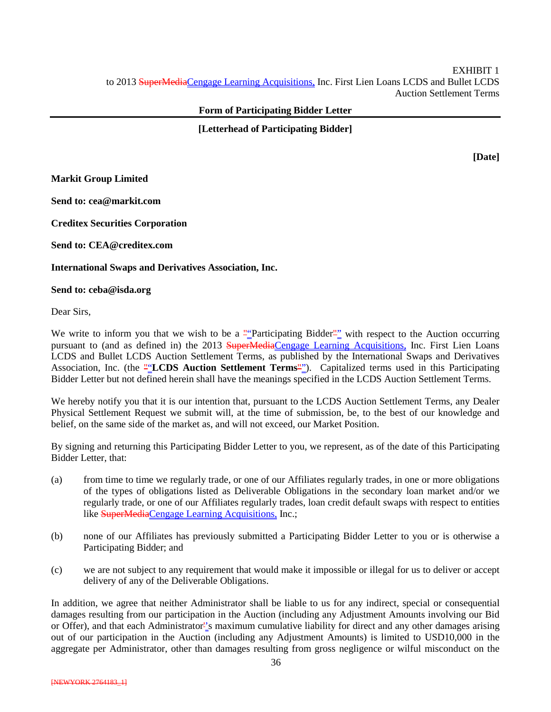#### **Form of Participating Bidder Letter**

**[Letterhead of Participating Bidder]**

**[Date]**

**Markit Group Limited**

**Send to: cea@markit.com**

**Creditex Securities Corporation**

**Send to: CEA@creditex.com**

**International Swaps and Derivatives Association, Inc.**

**Send to: ceba@isda.org**

Dear Sirs,

We write to inform you that we wish to be a ""Participating Bidder"" with respect to the Auction occurring pursuant to (and as defined in) the 2013 SuperMediaCengage Learning Acquisitions, Inc. First Lien Loans LCDS and Bullet LCDS Auction Settlement Terms, as published by the International Swaps and Derivatives Association, Inc. (the ""LCDS Auction Settlement Terms""). Capitalized terms used in this Participating Bidder Letter but not defined herein shall have the meanings specified in the LCDS Auction Settlement Terms.

We hereby notify you that it is our intention that, pursuant to the LCDS Auction Settlement Terms, any Dealer Physical Settlement Request we submit will, at the time of submission, be, to the best of our knowledge and belief, on the same side of the market as, and will not exceed, our Market Position.

By signing and returning this Participating Bidder Letter to you, we represent, as of the date of this Participating Bidder Letter, that:

- (a) from time to time we regularly trade, or one of our Affiliates regularly trades, in one or more obligations of the types of obligations listed as Deliverable Obligations in the secondary loan market and/or we regularly trade, or one of our Affiliates regularly trades, loan credit default swaps with respect to entities like SuperMediaCengage Learning Acquisitions, Inc.;
- (b) none of our Affiliates has previously submitted a Participating Bidder Letter to you or is otherwise a Participating Bidder; and
- (c) we are not subject to any requirement that would make it impossible or illegal for us to deliver or accept delivery of any of the Deliverable Obligations.

In addition, we agree that neither Administrator shall be liable to us for any indirect, special or consequential damages resulting from our participation in the Auction (including any Adjustment Amounts involving our Bid or Offer), and that each Administrator''s maximum cumulative liability for direct and any other damages arising out of our participation in the Auction (including any Adjustment Amounts) is limited to USD10,000 in the aggregate per Administrator, other than damages resulting from gross negligence or wilful misconduct on the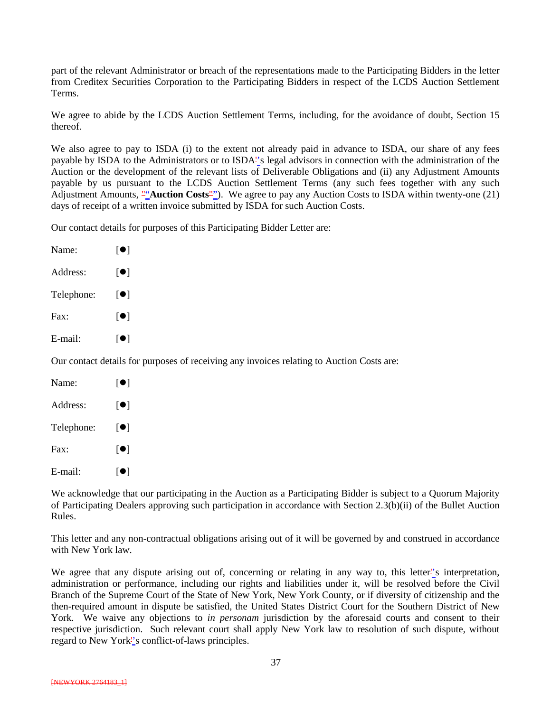part of the relevant Administrator or breach of the representations made to the Participating Bidders in the letter from Creditex Securities Corporation to the Participating Bidders in respect of the LCDS Auction Settlement Terms.

We agree to abide by the LCDS Auction Settlement Terms, including, for the avoidance of doubt, Section 15 thereof.

We also agree to pay to ISDA (i) to the extent not already paid in advance to ISDA, our share of any fees payable by ISDA to the Administrators or to ISDA''s legal advisors in connection with the administration of the Auction or the development of the relevant lists of Deliverable Obligations and (ii) any Adjustment Amounts payable by us pursuant to the LCDS Auction Settlement Terms (any such fees together with any such Adjustment Amounts, ""**Auction Costs**""). We agree to pay any Auction Costs to ISDA within twenty-one (21) days of receipt of a written invoice submitted by ISDA for such Auction Costs.

Our contact details for purposes of this Participating Bidder Letter are:

| Name:      | [●]                        |
|------------|----------------------------|
| Address:   | $\lceil\bullet\rceil$      |
| Telephone: | [●]                        |
| Fax:       | $\lceil \bullet \rceil$    |
| E-mail:    | $\lceil \bullet \rceil$    |
|            | Our contact details for pu |

reposes of receiving any invoices relating to Auction Costs are:

| Name:      | [O]                     |
|------------|-------------------------|
| Address:   | $\lceil\bullet\rceil$   |
| Telephone: | $\lceil \bullet \rceil$ |
| Fax:       | [●]                     |
| E-mail:    | $\lceil\bullet\rceil$   |

We acknowledge that our participating in the Auction as a Participating Bidder is subject to a Quorum Majority of Participating Dealers approving such participation in accordance with Section 2.3(b)(ii) of the Bullet Auction Rules.

This letter and any non-contractual obligations arising out of it will be governed by and construed in accordance with New York law.

We agree that any dispute arising out of, concerning or relating in any way to, this letter''s interpretation, administration or performance, including our rights and liabilities under it, will be resolved before the Civil Branch of the Supreme Court of the State of New York, New York County, or if diversity of citizenship and the then-required amount in dispute be satisfied, the United States District Court for the Southern District of New York. We waive any objections to *in personam* jurisdiction by the aforesaid courts and consent to their respective jurisdiction. Such relevant court shall apply New York law to resolution of such dispute, without regard to New York''s conflict-of-laws principles.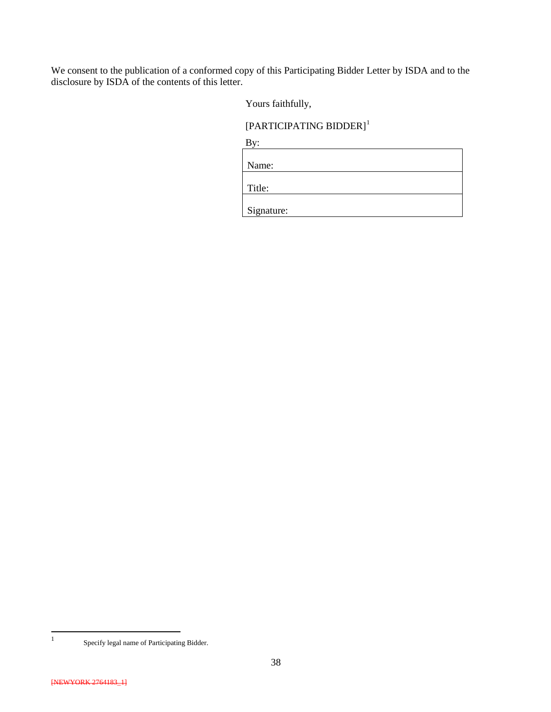We consent to the publication of a conformed copy of this Participating Bidder Letter by ISDA and to the disclosure by ISDA of the contents of this letter.

Yours faithfully,

### [PARTICIPATING BIDDER]<sup>[1](#page-37-0)</sup>

| ۰. |
|----|
|----|

| Name:      |  |
|------------|--|
|            |  |
| Title:     |  |
|            |  |
| Signature: |  |

<span id="page-37-0"></span> <sup>1</sup> Specify legal name of Participating Bidder.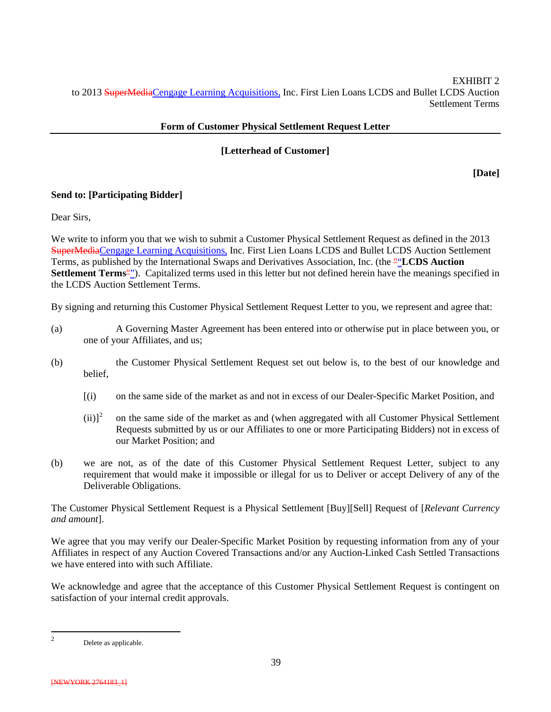EXHIBIT 2 to 2013 SuperMediaCengage Learning Acquisitions, Inc. First Lien Loans LCDS and Bullet LCDS Auction Settlement Terms

#### **Form of Customer Physical Settlement Request Letter**

#### **[Letterhead of Customer]**

**[Date]**

#### **Send to: [Participating Bidder]**

Dear Sirs,

We write to inform you that we wish to submit a Customer Physical Settlement Request as defined in the 2013 SuperMediaCengage Learning Acquisitions, Inc. First Lien Loans LCDS and Bullet LCDS Auction Settlement Terms, as published by the International Swaps and Derivatives Association, Inc. (the ""**LCDS Auction Settlement Terms**""). Capitalized terms used in this letter but not defined herein have the meanings specified in the LCDS Auction Settlement Terms.

By signing and returning this Customer Physical Settlement Request Letter to you, we represent and agree that:

- (a) A Governing Master Agreement has been entered into or otherwise put in place between you, or one of your Affiliates, and us;
- (b) the Customer Physical Settlement Request set out below is, to the best of our knowledge and belief,
	- [(i) on the same side of the market as and not in excess of our Dealer-Specific Market Position, and
	- $(ii)<sup>2</sup>$  $(ii)<sup>2</sup>$  $(ii)<sup>2</sup>$  on the same side of the market as and (when aggregated with all Customer Physical Settlement Requests submitted by us or our Affiliates to one or more Participating Bidders) not in excess of our Market Position; and
- (b) we are not, as of the date of this Customer Physical Settlement Request Letter, subject to any requirement that would make it impossible or illegal for us to Deliver or accept Delivery of any of the Deliverable Obligations.

The Customer Physical Settlement Request is a Physical Settlement [Buy][Sell] Request of [*Relevant Currency and amount*].

We agree that you may verify our Dealer-Specific Market Position by requesting information from any of your Affiliates in respect of any Auction Covered Transactions and/or any Auction-Linked Cash Settled Transactions we have entered into with such Affiliate.

We acknowledge and agree that the acceptance of this Customer Physical Settlement Request is contingent on satisfaction of your internal credit approvals.

<span id="page-38-0"></span>2 Delete as applicable.

<sup>[</sup>NEWYORK 2764183\_1]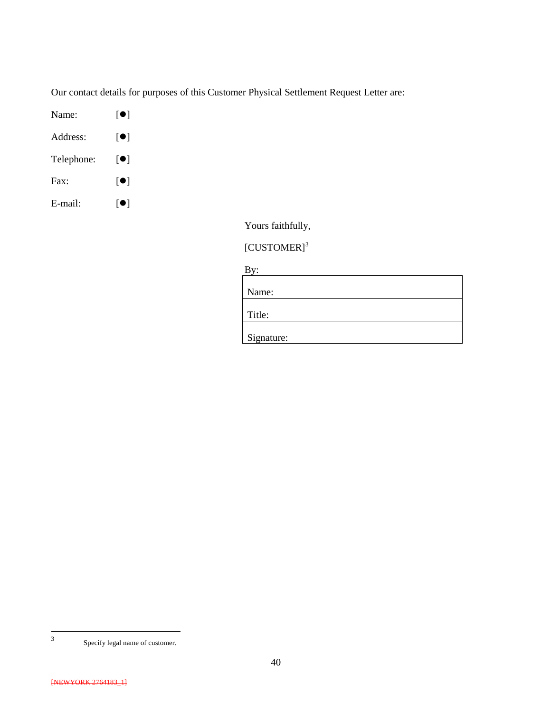Our contact details for purposes of this Customer Physical Settlement Request Letter are:

- Name:  $[\bullet]$
- Address: [<sup>O</sup>]
- Telephone:  $[\bullet]$
- Fax:  $[$   $[$
- E-mail:  $[\bullet]$

Yours faithfully,

## [CUSTOMER]<sup>[3](#page-39-0)</sup>

By:

| Name:      |  |  |
|------------|--|--|
|            |  |  |
| Title:     |  |  |
|            |  |  |
| Signature: |  |  |

<span id="page-39-0"></span>

 <sup>3</sup> Specify legal name of customer.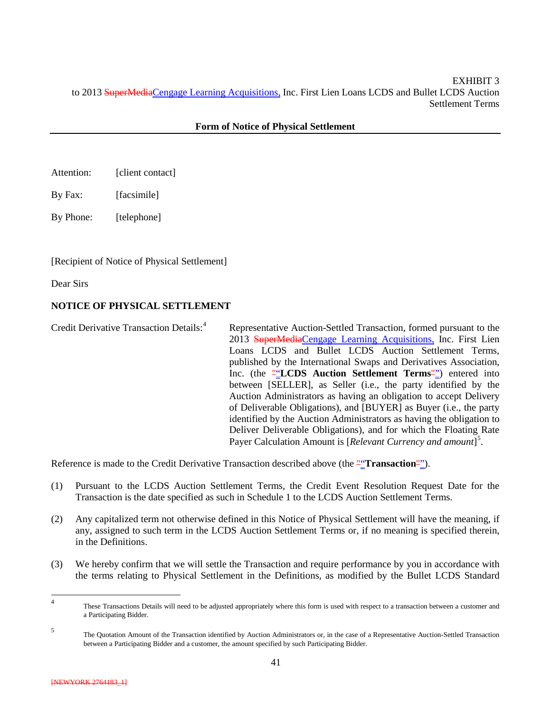EXHIBIT 3 to 2013 SuperMediaCengage Learning Acquisitions, Inc. First Lien Loans LCDS and Bullet LCDS Auction Settlement Terms

#### **Form of Notice of Physical Settlement**

- Attention: [client contact]
- By Fax: [facsimile]

By Phone: [telephone]

#### [Recipient of Notice of Physical Settlement]

Dear Sirs

#### **NOTICE OF PHYSICAL SETTLEMENT**

Credit Derivative Transaction Details:<sup>[4](#page-40-0)</sup> Representative Auction-Settled Transaction, formed pursuant to the 2013 SuperMediaCengage Learning Acquisitions, Inc. First Lien Loans LCDS and Bullet LCDS Auction Settlement Terms, published by the International Swaps and Derivatives Association, Inc. (the ""LCDS Auction Settlement Terms"") entered into between [SELLER], as Seller (i.e., the party identified by the Auction Administrators as having an obligation to accept Delivery of Deliverable Obligations), and [BUYER] as Buyer (i.e., the party identified by the Auction Administrators as having the obligation to Deliver Deliverable Obligations), and for which the Floating Rate Payer Calculation Amount is [*Relevant Currency and amount*] [5](#page-40-1) .

Reference is made to the Credit Derivative Transaction described above (the ""**Transaction**"").

- (1) Pursuant to the LCDS Auction Settlement Terms, the Credit Event Resolution Request Date for the Transaction is the date specified as such in Schedule 1 to the LCDS Auction Settlement Terms.
- (2) Any capitalized term not otherwise defined in this Notice of Physical Settlement will have the meaning, if any, assigned to such term in the LCDS Auction Settlement Terms or, if no meaning is specified therein, in the Definitions.
- (3) We hereby confirm that we will settle the Transaction and require performance by you in accordance with the terms relating to Physical Settlement in the Definitions, as modified by the Bullet LCDS Standard

<span id="page-40-0"></span> <sup>4</sup> These Transactions Details will need to be adjusted appropriately where this form is used with respect to a transaction between a customer and a Participating Bidder.

<span id="page-40-1"></span><sup>5</sup> The Quotation Amount of the Transaction identified by Auction Administrators or, in the case of a Representative Auction-Settled Transaction between a Participating Bidder and a customer, the amount specified by such Participating Bidder.